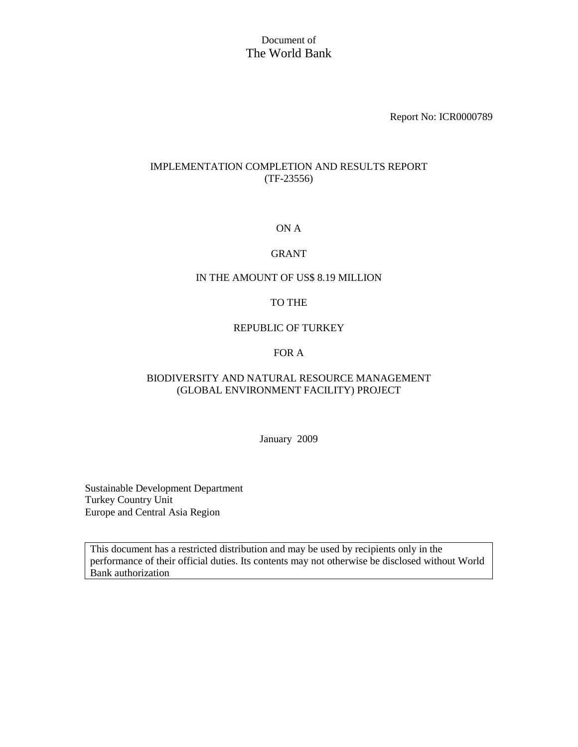## Document of The World Bank

Report No: ICR0000789

## IMPLEMENTATION COMPLETION AND RESULTS REPORT (TF-23556)

## ON A

## GRANT

#### IN THE AMOUNT OF US\$ 8.19 MILLION

## TO THE

## REPUBLIC OF TURKEY

## FOR A

## BIODIVERSITY AND NATURAL RESOURCE MANAGEMENT (GLOBAL ENVIRONMENT FACILITY) PROJECT

January 2009

Sustainable Development Department Turkey Country Unit Europe and Central Asia Region

This document has a restricted distribution and may be used by recipients only in the performance of their official duties. Its contents may not otherwise be disclosed without World Bank authorization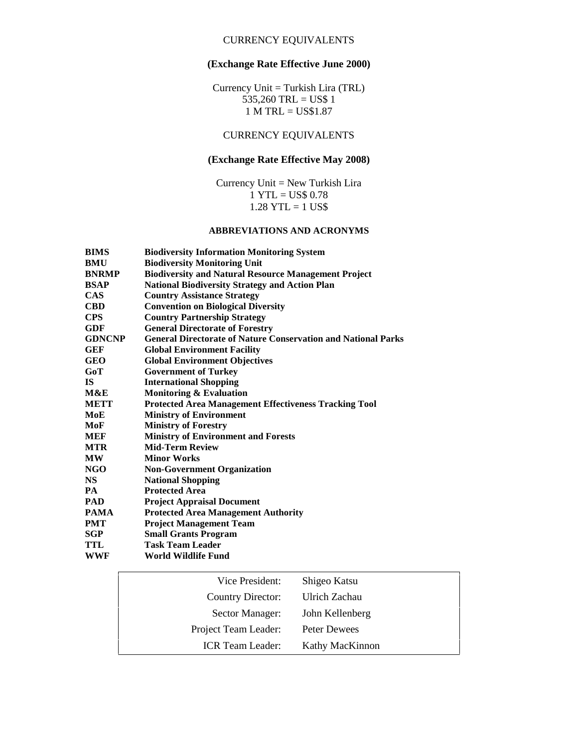#### CURRENCY EQUIVALENTS

## **(Exchange Rate Effective June 2000)**

Currency Unit = Turkish Lira (TRL) 535,260 TRL = US\$ 1 1 M TRL = US\$1.87

## CURRENCY EQUIVALENTS

## **(Exchange Rate Effective May 2008)**

Currency Unit = New Turkish Lira 1 YTL = US\$ 0.78  $1.28$  YTL = 1 US\$

#### **ABBREVIATIONS AND ACRONYMS**

| <b>BIMS</b>   | <b>Biodiversity Information Monitoring System</b>                    |
|---------------|----------------------------------------------------------------------|
| BMU           | <b>Biodiversity Monitoring Unit</b>                                  |
| <b>BNRMP</b>  | <b>Biodiversity and Natural Resource Management Project</b>          |
| <b>BSAP</b>   | <b>National Biodiversity Strategy and Action Plan</b>                |
| <b>CAS</b>    | <b>Country Assistance Strategy</b>                                   |
| <b>CBD</b>    | <b>Convention on Biological Diversity</b>                            |
| <b>CPS</b>    | <b>Country Partnership Strategy</b>                                  |
| <b>GDF</b>    | <b>General Directorate of Forestry</b>                               |
| <b>GDNCNP</b> | <b>General Directorate of Nature Conservation and National Parks</b> |
| <b>GEF</b>    | <b>Global Environment Facility</b>                                   |
| <b>GEO</b>    | <b>Global Environment Objectives</b>                                 |
| GoT           | <b>Government of Turkey</b>                                          |
| <b>IS</b>     | <b>International Shopping</b>                                        |
| M&E           | <b>Monitoring &amp; Evaluation</b>                                   |
| <b>METT</b>   | <b>Protected Area Management Effectiveness Tracking Tool</b>         |
| MoE           | <b>Ministry of Environment</b>                                       |
| MoF           | <b>Ministry of Forestry</b>                                          |
| <b>MEF</b>    | <b>Ministry of Environment and Forests</b>                           |
| <b>MTR</b>    | <b>Mid-Term Review</b>                                               |
| <b>MW</b>     | <b>Minor Works</b>                                                   |
| <b>NGO</b>    | <b>Non-Government Organization</b>                                   |
| <b>NS</b>     | <b>National Shopping</b>                                             |
| <b>PA</b>     | <b>Protected Area</b>                                                |
| <b>PAD</b>    | <b>Project Appraisal Document</b>                                    |
| <b>PAMA</b>   | <b>Protected Area Management Authority</b>                           |
| <b>PMT</b>    | <b>Project Management Team</b>                                       |
| <b>SGP</b>    | <b>Small Grants Program</b>                                          |
| TTL           | <b>Task Team Leader</b>                                              |
| <b>WWF</b>    | World Wildlife Fund                                                  |

| Vice President:         | Shigeo Katsu    |
|-------------------------|-----------------|
| Country Director:       | Ulrich Zachau   |
| Sector Manager:         | John Kellenberg |
| Project Team Leader:    | Peter Dewees    |
| <b>ICR</b> Team Leader: | Kathy MacKinnon |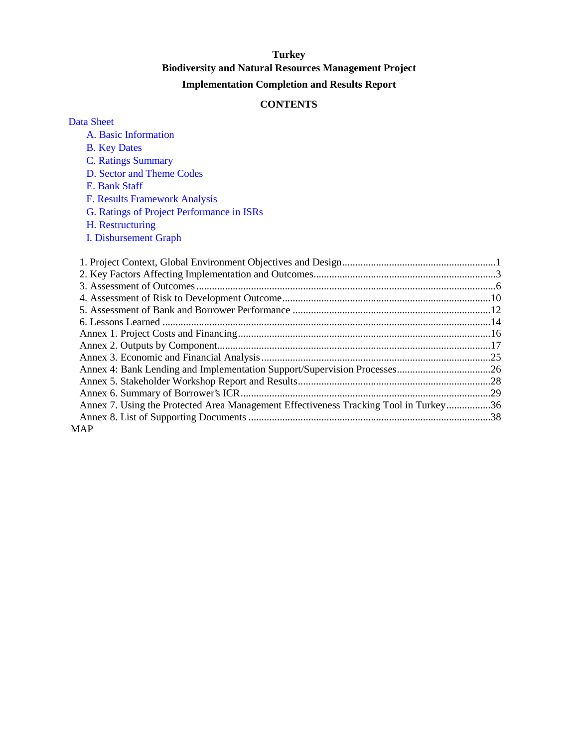# **Turkey Biodiversity and Natural Resources Management Project Implementation Completion and Results Report**

## **CONTENTS**

A. Basic Information

| <b>B.</b> Key Dates                                                                  |  |
|--------------------------------------------------------------------------------------|--|
| <b>C. Ratings Summary</b>                                                            |  |
| D. Sector and Theme Codes                                                            |  |
| E. Bank Staff                                                                        |  |
| F. Results Framework Analysis                                                        |  |
| G. Ratings of Project Performance in ISRs                                            |  |
| H. Restructuring                                                                     |  |
| <b>I. Disbursement Graph</b>                                                         |  |
|                                                                                      |  |
|                                                                                      |  |
|                                                                                      |  |
|                                                                                      |  |
|                                                                                      |  |
|                                                                                      |  |
|                                                                                      |  |
|                                                                                      |  |
|                                                                                      |  |
|                                                                                      |  |
|                                                                                      |  |
|                                                                                      |  |
| Annex 7. Using the Protected Area Management Effectiveness Tracking Tool in Turkey36 |  |
|                                                                                      |  |
| <b>MAP</b>                                                                           |  |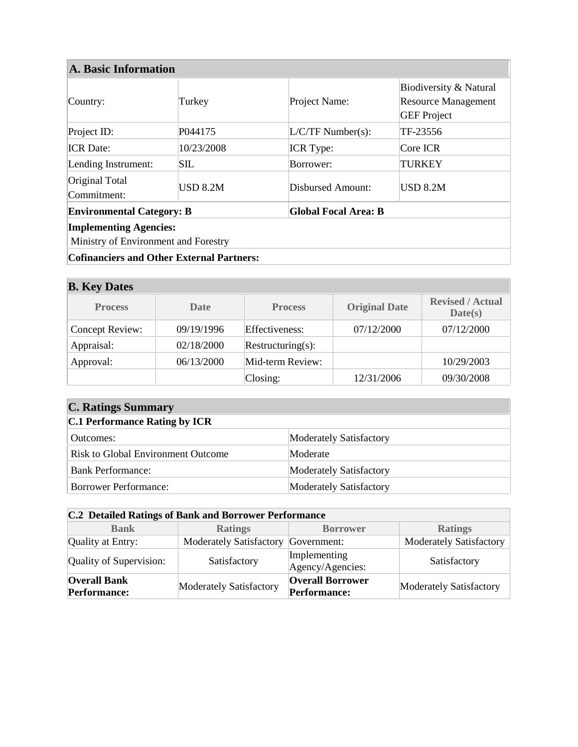| <b>A. Basic Information</b>                                           |                                  |                     |                                                                            |  |
|-----------------------------------------------------------------------|----------------------------------|---------------------|----------------------------------------------------------------------------|--|
| Country:                                                              | Turkey                           | Project Name:       | Biodiversity & Natural<br><b>Resource Management</b><br><b>GEF</b> Project |  |
| Project ID:                                                           | P044175                          | $L/C/TF$ Number(s): | TF-23556                                                                   |  |
| <b>ICR</b> Date:                                                      | 10/23/2008                       | <b>ICR</b> Type:    | Core ICR                                                                   |  |
| Lending Instrument:                                                   | $\mathbf{S}\mathbf{I}\mathbf{L}$ | Borrower:           | TURKEY                                                                     |  |
| Original Total<br>Commitment:                                         | <b>USD 8.2M</b>                  | Disbursed Amount:   | <b>USD 8.2M</b>                                                            |  |
| <b>Environmental Category: B</b><br><b>Global Focal Area: B</b>       |                                  |                     |                                                                            |  |
| <b>Implementing Agencies:</b><br>Ministry of Environment and Forestry |                                  |                     |                                                                            |  |
| <b>Cofinanciers and Other External Partners:</b>                      |                                  |                     |                                                                            |  |

# **B. Key Dates**

| $\sim$ $\sim$ $\sim$ $\sim$ $\sim$ $\sim$ |             |                   |                      |                                    |
|-------------------------------------------|-------------|-------------------|----------------------|------------------------------------|
| <b>Process</b>                            | <b>Date</b> | <b>Process</b>    | <b>Original Date</b> | <b>Revised / Actual</b><br>Date(s) |
| Concept Review:                           | 09/19/1996  | Effectiveness:    | 07/12/2000           | 07/12/2000                         |
| Appraisal:                                | 02/18/2000  | Restructuring(s): |                      |                                    |
| Approval:                                 | 06/13/2000  | Mid-term Review:  |                      | 10/29/2003                         |
|                                           |             | Closing:          | 12/31/2006           | 09/30/2008                         |

| <b>C. Ratings Summary</b>                 |                         |  |  |
|-------------------------------------------|-------------------------|--|--|
| <b>C.1 Performance Rating by ICR</b>      |                         |  |  |
| Outcomes:                                 | Moderately Satisfactory |  |  |
| <b>Risk to Global Environment Outcome</b> | Moderate                |  |  |
| <b>Bank Performance:</b>                  | Moderately Satisfactory |  |  |
| <b>Borrower Performance:</b>              | Moderately Satisfactory |  |  |

| <b>C.2 Detailed Ratings of Bank and Borrower Performance</b> |                                |                                                |                                |  |  |
|--------------------------------------------------------------|--------------------------------|------------------------------------------------|--------------------------------|--|--|
| <b>Bank</b>                                                  | <b>Ratings</b>                 | <b>Borrower</b>                                | <b>Ratings</b>                 |  |  |
| Quality at Entry:                                            | <b>Moderately Satisfactory</b> | Government:                                    | <b>Moderately Satisfactory</b> |  |  |
| Quality of Supervision:                                      | Satisfactory                   | Implementing<br>Agency/Agencies:               | Satisfactory                   |  |  |
| <b>Overall Bank</b><br><b>Performance:</b>                   | <b>Moderately Satisfactory</b> | <b>Overall Borrower</b><br><b>Performance:</b> | <b>Moderately Satisfactory</b> |  |  |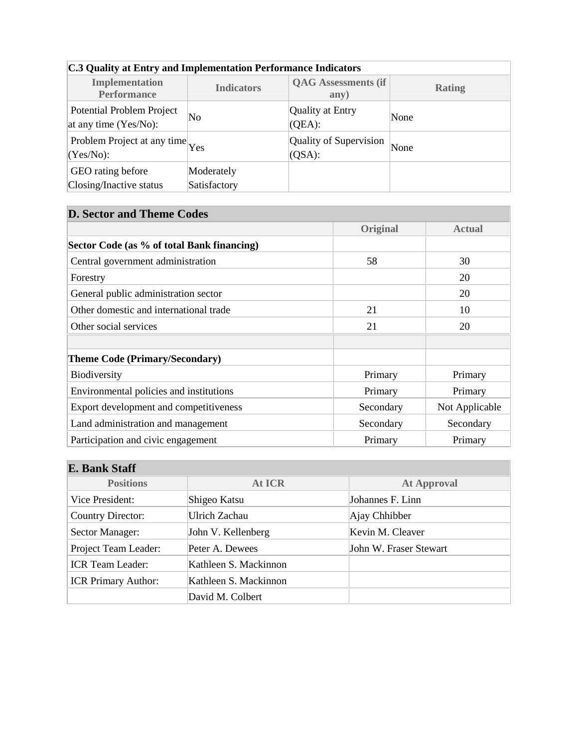| C.3 Quality at Entry and Implementation Performance Indicators |                            |                                     |               |  |
|----------------------------------------------------------------|----------------------------|-------------------------------------|---------------|--|
| <b>Implementation</b><br><b>Performance</b>                    | <b>Indicators</b>          | <b>QAG</b> Assessments (if<br>any)  | <b>Rating</b> |  |
| Potential Problem Project<br>at any time (Yes/No):             | No                         | Quality at Entry<br>$(QEA)$ :       | None          |  |
| Problem Project at any time $Y_{\text{res}}$<br>$(Yes/No)$ :   |                            | Quality of Supervision<br>$(QSA)$ : | None          |  |
| GEO rating before<br>Closing/Inactive status                   | Moderately<br>Satisfactory |                                     |               |  |

# **D. Sector and Theme Codes**

|                                            | <b>Original</b> | <b>Actual</b>  |
|--------------------------------------------|-----------------|----------------|
| Sector Code (as % of total Bank financing) |                 |                |
| Central government administration          | 58              | 30             |
| Forestry                                   |                 | 20             |
| General public administration sector       |                 | 20             |
| Other domestic and international trade     | 21              | 10             |
| Other social services                      | 21              | 20             |
|                                            |                 |                |
| <b>Theme Code (Primary/Secondary)</b>      |                 |                |
| Biodiversity                               | Primary         | Primary        |
| Environmental policies and institutions    | Primary         | Primary        |
| Export development and competitiveness     | Secondary       | Not Applicable |
| Land administration and management         | Secondary       | Secondary      |
| Participation and civic engagement         | Primary         | Primary        |

# **E. Bank Staff**

| <b>Positions</b>           | At ICR                | <b>At Approval</b>     |  |  |
|----------------------------|-----------------------|------------------------|--|--|
| Vice President:            | Shigeo Katsu          | Johannes F. Linn       |  |  |
| Country Director:          | Ulrich Zachau         | Ajay Chhibber          |  |  |
| Sector Manager:            | John V. Kellenberg    | Kevin M. Cleaver       |  |  |
| Project Team Leader:       | Peter A. Dewees       | John W. Fraser Stewart |  |  |
| <b>ICR Team Leader:</b>    | Kathleen S. Mackinnon |                        |  |  |
| <b>ICR Primary Author:</b> | Kathleen S. Mackinnon |                        |  |  |
|                            | David M. Colbert      |                        |  |  |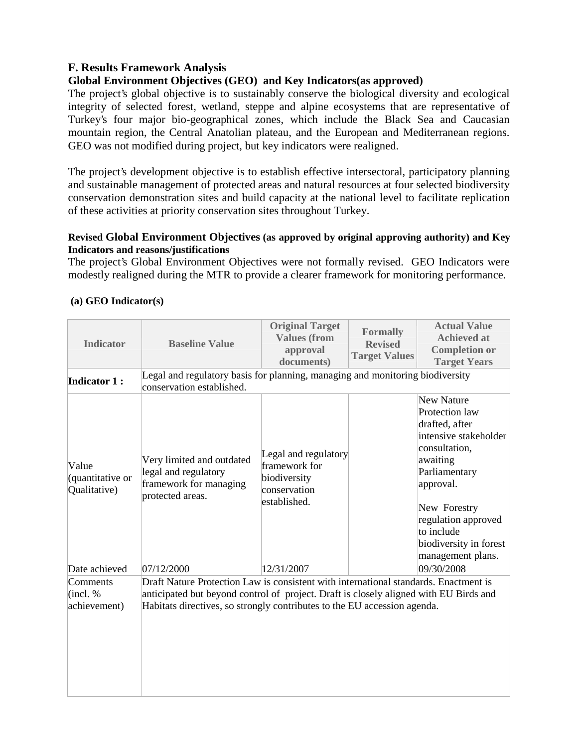## **F. Results Framework Analysis**

## **Global Environment Objectives (GEO) and Key Indicators(as approved)**

The project's global objective is to sustainably conserve the biological diversity and ecological integrity of selected forest, wetland, steppe and alpine ecosystems that are representative of Turkey's four major bio-geographical zones, which include the Black Sea and Caucasian mountain region, the Central Anatolian plateau, and the European and Mediterranean regions. GEO was not modified during project, but key indicators were realigned.

The project's development objective is to establish effective intersectoral, participatory planning and sustainable management of protected areas and natural resources at four selected biodiversity conservation demonstration sites and build capacity at the national level to facilitate replication of these activities at priority conservation sites throughout Turkey.

## **Revised Global Environment Objectives (as approved by original approving authority) and Key Indicators and reasons/justifications**

The project's Global Environment Objectives were not formally revised. GEO Indicators were modestly realigned during the MTR to provide a clearer framework for monitoring performance.

| <b>Indicator</b>                          | <b>Baseline Value</b><br>Legal and regulatory basis for planning, managing and monitoring biodiversity                                                                                                                                                    | <b>Original Target</b><br><b>Values (from</b><br>approval<br>documents)               | <b>Formally</b><br><b>Revised</b><br><b>Target Values</b> | <b>Actual Value</b><br><b>Achieved at</b><br><b>Completion or</b><br><b>Target Years</b>                                                                                                                                                      |
|-------------------------------------------|-----------------------------------------------------------------------------------------------------------------------------------------------------------------------------------------------------------------------------------------------------------|---------------------------------------------------------------------------------------|-----------------------------------------------------------|-----------------------------------------------------------------------------------------------------------------------------------------------------------------------------------------------------------------------------------------------|
| <b>Indicator 1:</b>                       | conservation established.                                                                                                                                                                                                                                 |                                                                                       |                                                           |                                                                                                                                                                                                                                               |
| Value<br>(quantitative or<br>Qualitative) | Very limited and outdated<br>legal and regulatory<br>framework for managing<br>protected areas.                                                                                                                                                           | Legal and regulatory<br>framework for<br>biodiversity<br>conservation<br>established. |                                                           | <b>New Nature</b><br>Protection law<br>drafted, after<br>intensive stakeholder<br>consultation,<br>awaiting<br>Parliamentary<br>approval.<br>New Forestry<br>regulation approved<br>to include<br>biodiversity in forest<br>management plans. |
| Date achieved                             | 07/12/2000                                                                                                                                                                                                                                                | 12/31/2007                                                                            |                                                           | 09/30/2008                                                                                                                                                                                                                                    |
| Comments<br>(incl. %<br>achievement)      | Draft Nature Protection Law is consistent with international standards. Enactment is<br>anticipated but beyond control of project. Draft is closely aligned with EU Birds and<br>Habitats directives, so strongly contributes to the EU accession agenda. |                                                                                       |                                                           |                                                                                                                                                                                                                                               |

## **(a) GEO Indicator(s)**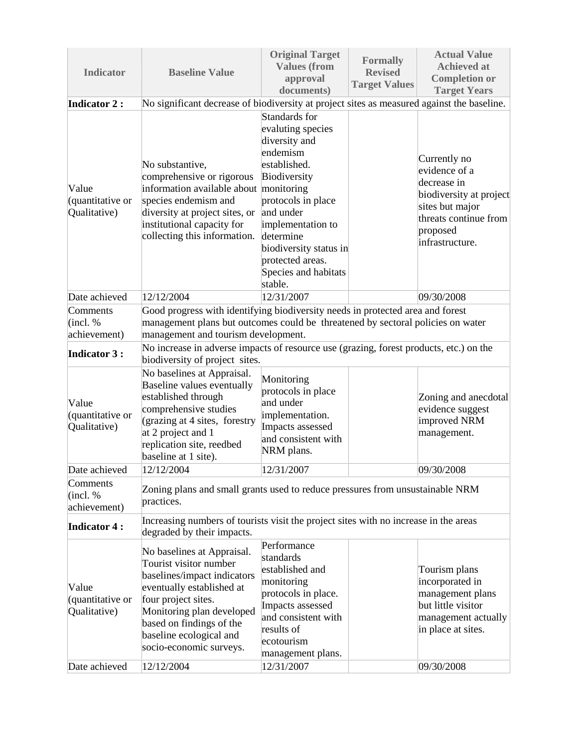| <b>Indicator</b>                                            | <b>Baseline Value</b>                                                                                                                                                                                                                                                                              | <b>Original Target</b><br><b>Values (from</b><br>approval<br>documents)                                                                                                                                                                                             | <b>Formally</b><br><b>Revised</b><br><b>Target Values</b> | <b>Actual Value</b><br><b>Achieved at</b><br><b>Completion or</b><br><b>Target Years</b>                                                           |  |  |
|-------------------------------------------------------------|----------------------------------------------------------------------------------------------------------------------------------------------------------------------------------------------------------------------------------------------------------------------------------------------------|---------------------------------------------------------------------------------------------------------------------------------------------------------------------------------------------------------------------------------------------------------------------|-----------------------------------------------------------|----------------------------------------------------------------------------------------------------------------------------------------------------|--|--|
| <b>Indicator 2:</b>                                         | No significant decrease of biodiversity at project sites as measured against the baseline.                                                                                                                                                                                                         |                                                                                                                                                                                                                                                                     |                                                           |                                                                                                                                                    |  |  |
| Value<br>(quantitative or<br>Qualitative)                   | No substantive,<br>comprehensive or rigorous<br>information available about<br>species endemism and<br>diversity at project sites, or<br>institutional capacity for<br>collecting this information.                                                                                                | Standards for<br>evaluting species<br>diversity and<br>endemism<br>established.<br>Biodiversity<br>monitoring<br>protocols in place<br>and under<br>implementation to<br>determine<br>biodiversity status in<br>protected areas.<br>Species and habitats<br>stable. |                                                           | Currently no<br>evidence of a<br>decrease in<br>biodiversity at project<br>sites but major<br>threats continue from<br>proposed<br>infrastructure. |  |  |
| Date achieved                                               | 12/12/2004                                                                                                                                                                                                                                                                                         | 12/31/2007                                                                                                                                                                                                                                                          |                                                           | 09/30/2008                                                                                                                                         |  |  |
| Comments<br>(incl. %<br>achievement)<br><b>Indicator 3:</b> | Good progress with identifying biodiversity needs in protected area and forest<br>management plans but outcomes could be threatened by sectoral policies on water<br>management and tourism development.<br>No increase in adverse impacts of resource use (grazing, forest products, etc.) on the |                                                                                                                                                                                                                                                                     |                                                           |                                                                                                                                                    |  |  |
| Value<br>(quantitative or<br>Qualitative)<br>Date achieved  | No baselines at Appraisal.<br>Baseline values eventually<br>established through<br>comprehensive studies<br>(grazing at 4 sites, forestry<br>at 2 project and 1<br>replication site, reedbed<br>baseline at 1 site).<br>12/12/2004                                                                 | Monitoring<br>protocols in place<br>and under<br>implementation.<br>Impacts assessed<br>and consistent with<br>NRM plans.<br>12/31/2007                                                                                                                             |                                                           | Zoning and anecdotal<br>evidence suggest<br>improved NRM<br>management.<br>09/30/2008                                                              |  |  |
| Comments<br>(incl. %<br>achievement)                        | Zoning plans and small grants used to reduce pressures from unsustainable NRM<br>practices.                                                                                                                                                                                                        |                                                                                                                                                                                                                                                                     |                                                           |                                                                                                                                                    |  |  |
| <b>Indicator 4:</b>                                         | Increasing numbers of tourists visit the project sites with no increase in the areas<br>degraded by their impacts.                                                                                                                                                                                 |                                                                                                                                                                                                                                                                     |                                                           |                                                                                                                                                    |  |  |
| Value<br>(quantitative or<br>Qualitative)                   | No baselines at Appraisal.<br>Tourist visitor number<br>baselines/impact indicators<br>eventually established at<br>four project sites.<br>Monitoring plan developed<br>based on findings of the<br>baseline ecological and<br>socio-economic surveys.                                             | Performance<br>standards<br>established and<br>monitoring<br>protocols in place.<br>Impacts assessed<br>and consistent with<br>results of<br>ecotourism<br>management plans.                                                                                        |                                                           | Tourism plans<br>incorporated in<br>management plans<br>but little visitor<br>management actually<br>in place at sites.                            |  |  |
| Date achieved                                               | 12/12/2004                                                                                                                                                                                                                                                                                         | 12/31/2007                                                                                                                                                                                                                                                          |                                                           | 09/30/2008                                                                                                                                         |  |  |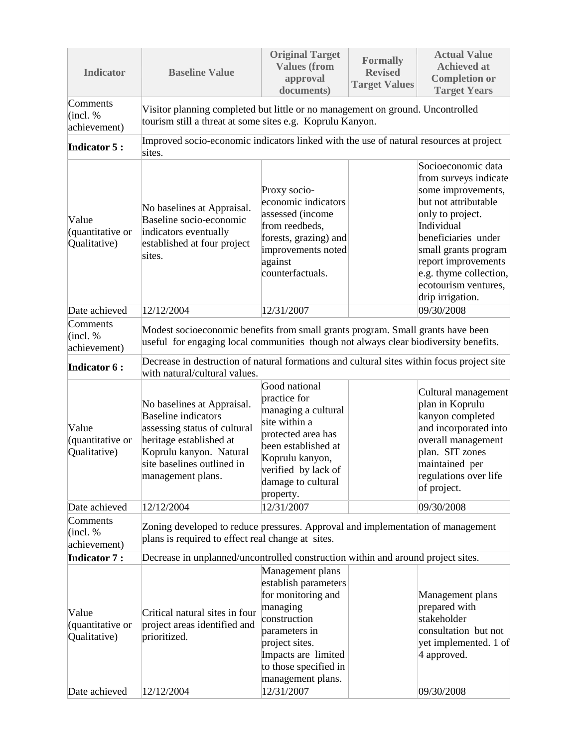| <b>Indicator</b>                          | <b>Baseline Value</b>                                                                                                                                                                             | <b>Original Target</b><br><b>Values (from</b><br>approval<br>documents)                                                                                                                            | <b>Formally</b><br><b>Revised</b><br><b>Target Values</b> | <b>Actual Value</b><br><b>Achieved at</b><br><b>Completion or</b><br><b>Target Years</b>                                                                                                                                                                                |
|-------------------------------------------|---------------------------------------------------------------------------------------------------------------------------------------------------------------------------------------------------|----------------------------------------------------------------------------------------------------------------------------------------------------------------------------------------------------|-----------------------------------------------------------|-------------------------------------------------------------------------------------------------------------------------------------------------------------------------------------------------------------------------------------------------------------------------|
| Comments<br>(incl. %<br>achievement)      | Visitor planning completed but little or no management on ground. Uncontrolled<br>tourism still a threat at some sites e.g. Koprulu Kanyon.                                                       |                                                                                                                                                                                                    |                                                           |                                                                                                                                                                                                                                                                         |
| <b>Indicator 5:</b>                       | Improved socio-economic indicators linked with the use of natural resources at project<br>sites.                                                                                                  |                                                                                                                                                                                                    |                                                           |                                                                                                                                                                                                                                                                         |
| Value<br>(quantitative or<br>Qualitative) | No baselines at Appraisal.<br>Baseline socio-economic<br>indicators eventually<br>established at four project<br>sites.                                                                           | Proxy socio-<br>economic indicators<br>assessed (income<br>from reedbeds,<br>forests, grazing) and<br>improvements noted<br>against<br>counterfactuals.                                            |                                                           | Socioeconomic data<br>from surveys indicate<br>some improvements,<br>but not attributable<br>only to project.<br>Individual<br>beneficiaries under<br>small grants program<br>report improvements<br>e.g. thyme collection,<br>ecotourism ventures,<br>drip irrigation. |
| Date achieved                             | 12/12/2004                                                                                                                                                                                        | 12/31/2007                                                                                                                                                                                         |                                                           | 09/30/2008                                                                                                                                                                                                                                                              |
| Comments<br>(incl. %<br>achievement)      | Modest socioeconomic benefits from small grants program. Small grants have been<br>useful for engaging local communities though not always clear biodiversity benefits.                           |                                                                                                                                                                                                    |                                                           |                                                                                                                                                                                                                                                                         |
| <b>Indicator 6:</b>                       | Decrease in destruction of natural formations and cultural sites within focus project site<br>with natural/cultural values.                                                                       |                                                                                                                                                                                                    |                                                           |                                                                                                                                                                                                                                                                         |
| Value<br>(quantitative or<br>Qualitative) | No baselines at Appraisal.<br><b>Baseline</b> indicators<br>assessing status of cultural<br>heritage established at<br>Koprulu kanyon. Natural<br>site baselines outlined in<br>management plans. | Good national<br>practice for<br>managing a cultural<br>site within a<br>protected area has<br>been established at<br>Koprulu kanyon,<br>verified by lack of<br>damage to cultural<br>property.    |                                                           | Cultural management<br>plan in Koprulu<br>kanyon completed<br>and incorporated into<br>overall management<br>plan. SIT zones<br>maintained per<br>regulations over life<br>of project.                                                                                  |
| Date achieved                             | 12/12/2004                                                                                                                                                                                        | 12/31/2007                                                                                                                                                                                         |                                                           | 09/30/2008                                                                                                                                                                                                                                                              |
| Comments<br>(incl. %<br>achievement)      | Zoning developed to reduce pressures. Approval and implementation of management<br>plans is required to effect real change at sites.                                                              |                                                                                                                                                                                                    |                                                           |                                                                                                                                                                                                                                                                         |
| <b>Indicator 7:</b>                       | Decrease in unplanned/uncontrolled construction within and around project sites.                                                                                                                  |                                                                                                                                                                                                    |                                                           |                                                                                                                                                                                                                                                                         |
| Value<br>(quantitative or<br>Qualitative) | Critical natural sites in four<br>project areas identified and<br>prioritized.                                                                                                                    | Management plans<br>establish parameters<br>for monitoring and<br>managing<br>construction<br>parameters in<br>project sites.<br>Impacts are limited<br>to those specified in<br>management plans. |                                                           | Management plans<br>prepared with<br>stakeholder<br>consultation but not<br>yet implemented. 1 of<br>4 approved.                                                                                                                                                        |
| Date achieved                             | 12/12/2004                                                                                                                                                                                        | 12/31/2007                                                                                                                                                                                         |                                                           | 09/30/2008                                                                                                                                                                                                                                                              |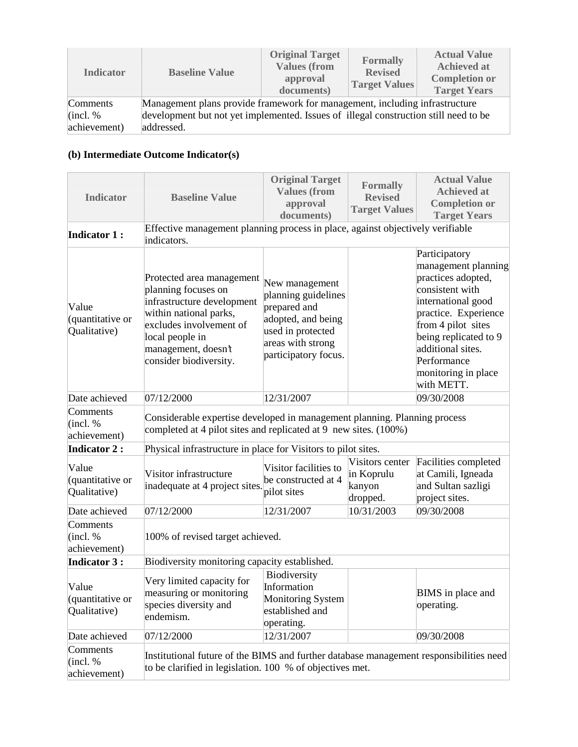| <b>Indicator</b> | <b>Baseline Value</b>                                                                | <b>Original Target</b><br><b>Values (from</b><br>approval<br>documents) | <b>Formally</b><br><b>Revised</b><br><b>Target Values</b> | <b>Actual Value</b><br><b>Achieved at</b><br><b>Completion or</b><br><b>Target Years</b> |  |  |
|------------------|--------------------------------------------------------------------------------------|-------------------------------------------------------------------------|-----------------------------------------------------------|------------------------------------------------------------------------------------------|--|--|
| Comments         | Management plans provide framework for management, including infrastructure          |                                                                         |                                                           |                                                                                          |  |  |
| (incl. %         | development but not yet implemented. Issues of illegal construction still need to be |                                                                         |                                                           |                                                                                          |  |  |
| achievement)     | addressed.                                                                           |                                                                         |                                                           |                                                                                          |  |  |

## **(b) Intermediate Outcome Indicator(s)**

| <b>Indicator</b>                          | <b>Baseline Value</b>                                                                                                                                                                                   | <b>Original Target</b><br><b>Values (from</b><br>approval<br>documents)                                                                       | <b>Formally</b><br><b>Revised</b><br><b>Target Values</b> | <b>Actual Value</b><br><b>Achieved at</b><br><b>Completion or</b><br><b>Target Years</b>                                                                                                                                                            |  |
|-------------------------------------------|---------------------------------------------------------------------------------------------------------------------------------------------------------------------------------------------------------|-----------------------------------------------------------------------------------------------------------------------------------------------|-----------------------------------------------------------|-----------------------------------------------------------------------------------------------------------------------------------------------------------------------------------------------------------------------------------------------------|--|
| <b>Indicator 1:</b>                       | Effective management planning process in place, against objectively verifiable<br>indicators.                                                                                                           |                                                                                                                                               |                                                           |                                                                                                                                                                                                                                                     |  |
| Value<br>(quantitative or<br>Qualitative) | Protected area management<br>planning focuses on<br>infrastructure development<br>within national parks,<br>excludes involvement of<br>local people in<br>management, doesn't<br>consider biodiversity. | New management<br>planning guidelines<br>prepared and<br>adopted, and being<br>used in protected<br>areas with strong<br>participatory focus. |                                                           | Participatory<br>management planning<br>practices adopted,<br>consistent with<br>international good<br>practice. Experience<br>from 4 pilot sites<br>being replicated to 9<br>additional sites.<br>Performance<br>monitoring in place<br>with METT. |  |
| Date achieved                             | 07/12/2000                                                                                                                                                                                              | 12/31/2007                                                                                                                                    |                                                           | 09/30/2008                                                                                                                                                                                                                                          |  |
| Comments<br>(incl. %<br>achievement)      | Considerable expertise developed in management planning. Planning process<br>completed at 4 pilot sites and replicated at 9 new sites. (100%)                                                           |                                                                                                                                               |                                                           |                                                                                                                                                                                                                                                     |  |
| <b>Indicator 2:</b>                       | Physical infrastructure in place for Visitors to pilot sites.                                                                                                                                           |                                                                                                                                               |                                                           |                                                                                                                                                                                                                                                     |  |
| Value<br>(quantitative or<br>Qualitative) | Visitor infrastructure<br>inadequate at 4 project sites.                                                                                                                                                | Visitor facilities to<br>be constructed at 4<br>pilot sites                                                                                   | Visitors center<br>in Koprulu<br>kanyon<br>dropped.       | Facilities completed<br>at Camili, Igneada<br>and Sultan sazligi<br>project sites.                                                                                                                                                                  |  |
| Date achieved                             | 07/12/2000                                                                                                                                                                                              | 12/31/2007                                                                                                                                    | 10/31/2003                                                | 09/30/2008                                                                                                                                                                                                                                          |  |
| Comments<br>(incl. %<br>achievement)      | 100% of revised target achieved.                                                                                                                                                                        |                                                                                                                                               |                                                           |                                                                                                                                                                                                                                                     |  |
| <b>Indicator 3:</b>                       | Biodiversity monitoring capacity established.                                                                                                                                                           |                                                                                                                                               |                                                           |                                                                                                                                                                                                                                                     |  |
| Value<br>(quantitative or<br>Qualitative) | Very limited capacity for<br>measuring or monitoring<br>species diversity and<br>endemism.                                                                                                              | Biodiversity<br>Information<br><b>Monitoring System</b><br>established and<br>operating.                                                      |                                                           | BIMS in place and<br>operating.                                                                                                                                                                                                                     |  |
| Date achieved                             | 07/12/2000                                                                                                                                                                                              | 12/31/2007                                                                                                                                    |                                                           | 09/30/2008                                                                                                                                                                                                                                          |  |
| Comments<br>(incl. %<br>achievement)      | Institutional future of the BIMS and further database management responsibilities need<br>to be clarified in legislation. 100 % of objectives met.                                                      |                                                                                                                                               |                                                           |                                                                                                                                                                                                                                                     |  |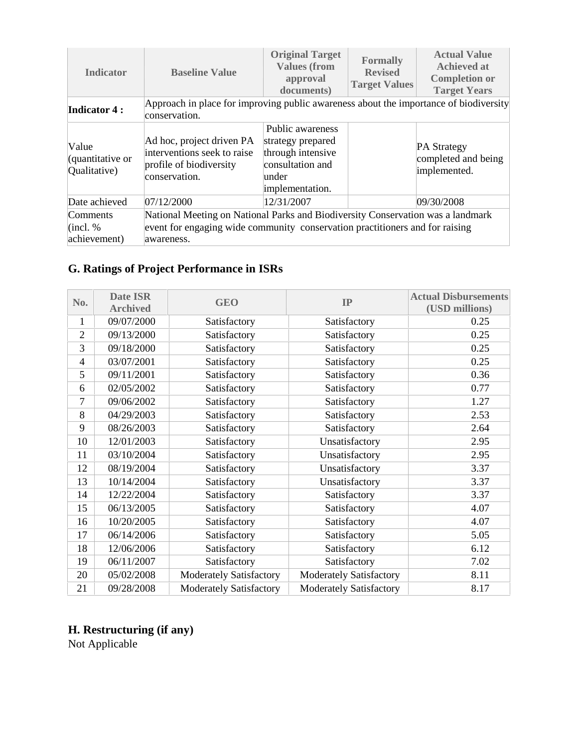| <b>Indicator</b>                          | <b>Baseline Value</b>                                                                                                                                                         | <b>Original Target</b><br><b>Values (from</b><br>approval<br>documents)                                    | <b>Formally</b><br><b>Revised</b><br><b>Target Values</b> | <b>Actual Value</b><br><b>Achieved at</b><br><b>Completion or</b><br><b>Target Years</b> |  |
|-------------------------------------------|-------------------------------------------------------------------------------------------------------------------------------------------------------------------------------|------------------------------------------------------------------------------------------------------------|-----------------------------------------------------------|------------------------------------------------------------------------------------------|--|
| <b>Indicator 4:</b>                       | Approach in place for improving public awareness about the importance of biodiversity<br>conservation.                                                                        |                                                                                                            |                                                           |                                                                                          |  |
| Value<br>(quantitative or<br>Qualitative) | Ad hoc, project driven PA<br>interventions seek to raise<br>profile of biodiversity<br>conservation.                                                                          | Public awareness<br>strategy prepared<br>through intensive<br>consultation and<br>under<br>implementation. |                                                           | <b>PA Strategy</b><br>completed and being<br>implemented.                                |  |
| Date achieved                             | 07/12/2000                                                                                                                                                                    | 12/31/2007                                                                                                 |                                                           | 09/30/2008                                                                               |  |
| Comments<br>(incl. %<br>achievement)      | National Meeting on National Parks and Biodiversity Conservation was a landmark<br>event for engaging wide community conservation practitioners and for raising<br>awareness. |                                                                                                            |                                                           |                                                                                          |  |

# **G. Ratings of Project Performance in ISRs**

| No.            | <b>Date ISR</b><br><b>Archived</b> | <b>GEO</b>                     | IP                             | <b>Actual Disbursements</b><br>(USD millions) |
|----------------|------------------------------------|--------------------------------|--------------------------------|-----------------------------------------------|
| 1              | 09/07/2000                         | Satisfactory                   | Satisfactory                   | 0.25                                          |
| $\overline{2}$ | 09/13/2000                         | Satisfactory                   | Satisfactory                   | 0.25                                          |
| 3              | 09/18/2000                         | Satisfactory                   | Satisfactory                   | 0.25                                          |
| $\overline{4}$ | 03/07/2001                         | Satisfactory                   | Satisfactory                   | 0.25                                          |
| 5              | 09/11/2001                         | Satisfactory                   | Satisfactory                   | 0.36                                          |
| 6              | 02/05/2002                         | Satisfactory                   | Satisfactory                   | 0.77                                          |
| $\tau$         | 09/06/2002                         | Satisfactory                   | Satisfactory                   | 1.27                                          |
| 8              | 04/29/2003                         | Satisfactory                   | Satisfactory                   | 2.53                                          |
| 9              | 08/26/2003                         | Satisfactory                   | Satisfactory                   | 2.64                                          |
| 10             | 12/01/2003                         | Satisfactory                   | Unsatisfactory                 | 2.95                                          |
| 11             | 03/10/2004                         | Satisfactory                   | Unsatisfactory                 | 2.95                                          |
| 12             | 08/19/2004                         | Satisfactory                   | Unsatisfactory                 | 3.37                                          |
| 13             | 10/14/2004                         | Satisfactory                   | Unsatisfactory                 | 3.37                                          |
| 14             | 12/22/2004                         | Satisfactory                   | Satisfactory                   | 3.37                                          |
| 15             | 06/13/2005                         | Satisfactory                   | Satisfactory                   | 4.07                                          |
| 16             | 10/20/2005                         | Satisfactory                   | Satisfactory                   | 4.07                                          |
| 17             | 06/14/2006                         | Satisfactory                   | Satisfactory                   | 5.05                                          |
| 18             | 12/06/2006                         | Satisfactory                   | Satisfactory                   | 6.12                                          |
| 19             | 06/11/2007                         | Satisfactory                   | Satisfactory                   | 7.02                                          |
| 20             | 05/02/2008                         | <b>Moderately Satisfactory</b> | <b>Moderately Satisfactory</b> | 8.11                                          |
| 21             | 09/28/2008                         | <b>Moderately Satisfactory</b> | <b>Moderately Satisfactory</b> | 8.17                                          |

## **H. Restructuring (if any)**

Not Applicable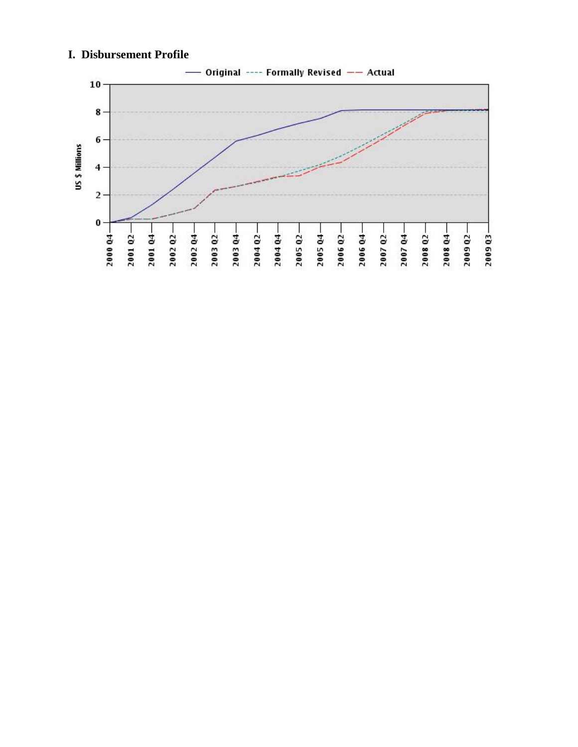

# **I. Disbursement Profile**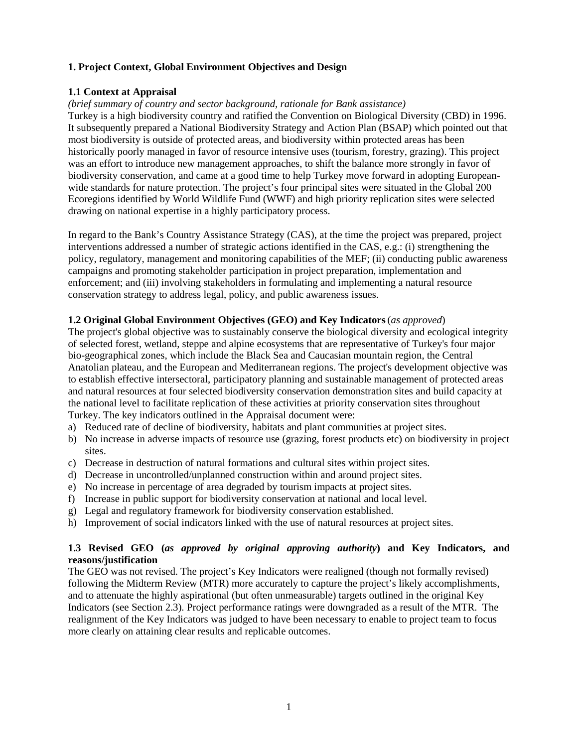## **1. Project Context, Global Environment Objectives and Design**

## **1.1 Context at Appraisal**

## *(brief summary of country and sector background, rationale for Bank assistance)*

Turkey is a high biodiversity country and ratified the Convention on Biological Diversity (CBD) in 1996. It subsequently prepared a National Biodiversity Strategy and Action Plan (BSAP) which pointed out that most biodiversity is outside of protected areas, and biodiversity within protected areas has been historically poorly managed in favor of resource intensive uses (tourism, forestry, grazing). This project was an effort to introduce new management approaches, to shift the balance more strongly in favor of biodiversity conservation, and came at a good time to help Turkey move forward in adopting Europeanwide standards for nature protection. The project's four principal sites were situated in the Global 200 Ecoregions identified by World Wildlife Fund (WWF) and high priority replication sites were selected drawing on national expertise in a highly participatory process.

In regard to the Bank's Country Assistance Strategy (CAS), at the time the project was prepared, project interventions addressed a number of strategic actions identified in the CAS, e.g.: (i) strengthening the policy, regulatory, management and monitoring capabilities of the MEF; (ii) conducting public awareness campaigns and promoting stakeholder participation in project preparation, implementation and enforcement; and (iii) involving stakeholders in formulating and implementing a natural resource conservation strategy to address legal, policy, and public awareness issues.

## **1.2 Original Global Environment Objectives (GEO) and Key Indicators** (*as approved*)

The project's global objective was to sustainably conserve the biological diversity and ecological integrity of selected forest, wetland, steppe and alpine ecosystems that are representative of Turkey's four major bio-geographical zones, which include the Black Sea and Caucasian mountain region, the Central Anatolian plateau, and the European and Mediterranean regions. The project's development objective was to establish effective intersectoral, participatory planning and sustainable management of protected areas and natural resources at four selected biodiversity conservation demonstration sites and build capacity at the national level to facilitate replication of these activities at priority conservation sites throughout Turkey. The key indicators outlined in the Appraisal document were:

- a) Reduced rate of decline of biodiversity, habitats and plant communities at project sites.
- b) No increase in adverse impacts of resource use (grazing, forest products etc) on biodiversity in project sites.
- c) Decrease in destruction of natural formations and cultural sites within project sites.
- d) Decrease in uncontrolled/unplanned construction within and around project sites.
- e) No increase in percentage of area degraded by tourism impacts at project sites.
- f) Increase in public support for biodiversity conservation at national and local level.
- g) Legal and regulatory framework for biodiversity conservation established.
- h) Improvement of social indicators linked with the use of natural resources at project sites.

## **1.3 Revised GEO (***as approved by original approving authority***) and Key Indicators, and reasons/justification**

The GEO was not revised. The project's Key Indicators were realigned (though not formally revised) following the Midterm Review (MTR) more accurately to capture the project's likely accomplishments, and to attenuate the highly aspirational (but often unmeasurable) targets outlined in the original Key Indicators (see Section 2.3). Project performance ratings were downgraded as a result of the MTR. The realignment of the Key Indicators was judged to have been necessary to enable to project team to focus more clearly on attaining clear results and replicable outcomes.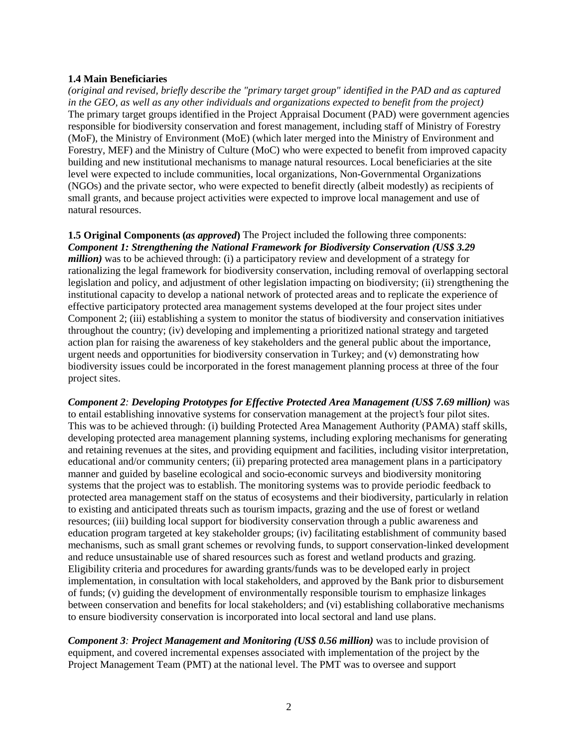## **1.4 Main Beneficiaries**

*(original and revised, briefly describe the "primary target group" identified in the PAD and as captured in the GEO, as well as any other individuals and organizations expected to benefit from the project)* The primary target groups identified in the Project Appraisal Document (PAD) were government agencies responsible for biodiversity conservation and forest management, including staff of Ministry of Forestry (MoF), the Ministry of Environment (MoE) (which later merged into the Ministry of Environment and Forestry, MEF) and the Ministry of Culture (MoC) who were expected to benefit from improved capacity building and new institutional mechanisms to manage natural resources. Local beneficiaries at the site level were expected to include communities, local organizations, Non-Governmental Organizations (NGOs) and the private sector, who were expected to benefit directly (albeit modestly) as recipients of small grants, and because project activities were expected to improve local management and use of natural resources.

**1.5 Original Components (***as approved***)** The Project included the following three components: *Component 1: Strengthening the National Framework for Biodiversity Conservation (US\$ 3.29 million)* was to be achieved through: (i) a participatory review and development of a strategy for rationalizing the legal framework for biodiversity conservation, including removal of overlapping sectoral legislation and policy, and adjustment of other legislation impacting on biodiversity; (ii) strengthening the institutional capacity to develop a national network of protected areas and to replicate the experience of effective participatory protected area management systems developed at the four project sites under Component 2; (iii) establishing a system to monitor the status of biodiversity and conservation initiatives throughout the country; (iv) developing and implementing a prioritized national strategy and targeted action plan for raising the awareness of key stakeholders and the general public about the importance, urgent needs and opportunities for biodiversity conservation in Turkey; and (v) demonstrating how biodiversity issues could be incorporated in the forest management planning process at three of the four project sites.

*Component 2: Developing Prototypes for Effective Protected Area Management (US\$ 7.69 million)* was to entail establishing innovative systems for conservation management at the project's four pilot sites. This was to be achieved through: (i) building Protected Area Management Authority (PAMA) staff skills, developing protected area management planning systems, including exploring mechanisms for generating and retaining revenues at the sites, and providing equipment and facilities, including visitor interpretation, educational and/or community centers; (ii) preparing protected area management plans in a participatory manner and guided by baseline ecological and socio-economic surveys and biodiversity monitoring systems that the project was to establish. The monitoring systems was to provide periodic feedback to protected area management staff on the status of ecosystems and their biodiversity, particularly in relation to existing and anticipated threats such as tourism impacts, grazing and the use of forest or wetland resources; (iii) building local support for biodiversity conservation through a public awareness and education program targeted at key stakeholder groups; (iv) facilitating establishment of community based mechanisms, such as small grant schemes or revolving funds, to support conservation-linked development and reduce unsustainable use of shared resources such as forest and wetland products and grazing. Eligibility criteria and procedures for awarding grants/funds was to be developed early in project implementation, in consultation with local stakeholders, and approved by the Bank prior to disbursement of funds; (v) guiding the development of environmentally responsible tourism to emphasize linkages between conservation and benefits for local stakeholders; and (vi) establishing collaborative mechanisms to ensure biodiversity conservation is incorporated into local sectoral and land use plans.

*Component 3: Project Management and Monitoring (US\$ 0.56 million)* was to include provision of equipment, and covered incremental expenses associated with implementation of the project by the Project Management Team (PMT) at the national level. The PMT was to oversee and support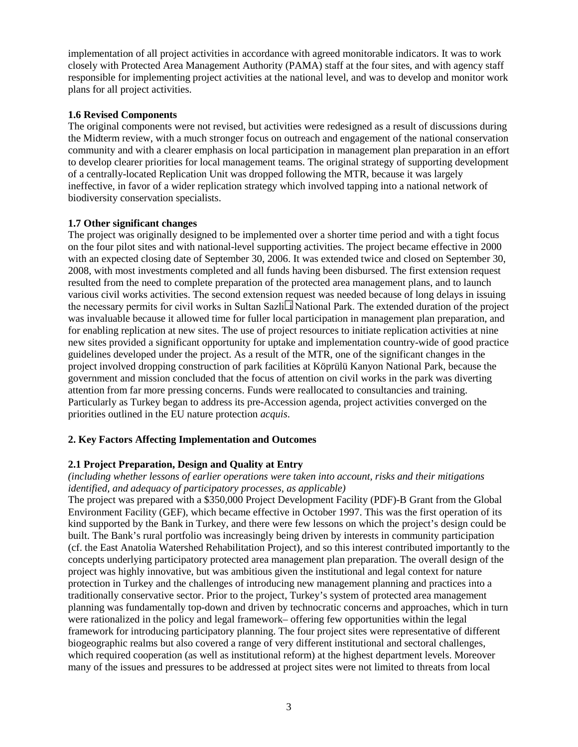implementation of all project activities in accordance with agreed monitorable indicators. It was to work closely with Protected Area Management Authority (PAMA) staff at the four sites, and with agency staff responsible for implementing project activities at the national level, and was to develop and monitor work plans for all project activities.

## **1.6 Revised Components**

The original components were not revised, but activities were redesigned as a result of discussions during the Midterm review, with a much stronger focus on outreach and engagement of the national conservation community and with a clearer emphasis on local participation in management plan preparation in an effort to develop clearer priorities for local management teams. The original strategy of supporting development of a centrally-located Replication Unit was dropped following the MTR, because it was largely ineffective, in favor of a wider replication strategy which involved tapping into a national network of biodiversity conservation specialists.

## **1.7 Other significant changes**

The project was originally designed to be implemented over a shorter time period and with a tight focus on the four pilot sites and with national-level supporting activities. The project became effective in 2000 with an expected closing date of September 30, 2006. It was extended twice and closed on September 30, 2008, with most investments completed and all funds having been disbursed. The first extension request resulted from the need to complete preparation of the protected area management plans, and to launch various civil works activities. The second extension request was needed because of long delays in issuing the necessary permits for civil works in Sultan Sazli i National Park. The extended duration of the project was invaluable because it allowed time for fuller local participation in management plan preparation, and for enabling replication at new sites. The use of project resources to initiate replication activities at nine new sites provided a significant opportunity for uptake and implementation country-wide of good practice guidelines developed under the project. As a result of the MTR, one of the significant changes in the project involved dropping construction of park facilities at Köprülü Kanyon National Park, because the government and mission concluded that the focus of attention on civil works in the park was diverting attention from far more pressing concerns. Funds were reallocated to consultancies and training. Particularly as Turkey began to address its pre-Accession agenda, project activities converged on the priorities outlined in the EU nature protection *acquis*.

## **2. Key Factors Affecting Implementation and Outcomes**

## **2.1 Project Preparation, Design and Quality at Entry**

## *(including whether lessons of earlier operations were taken into account, risks and their mitigations identified, and adequacy of participatory processes, as applicable)*

The project was prepared with a \$350,000 Project Development Facility (PDF)-B Grant from the Global Environment Facility (GEF), which became effective in October 1997. This was the first operation of its kind supported by the Bank in Turkey, and there were few lessons on which the project's design could be built. The Bank's rural portfolio was increasingly being driven by interests in community participation (cf. the East Anatolia Watershed Rehabilitation Project), and so this interest contributed importantly to the concepts underlying participatory protected area management plan preparation. The overall design of the project was highly innovative, but was ambitious given the institutional and legal context for nature protection in Turkey and the challenges of introducing new management planning and practices into a traditionally conservative sector. Prior to the project, Turkey's system of protected area management planning was fundamentally top-down and driven by technocratic concerns and approaches, which in turn were rationalized in the policy and legal framework– offering few opportunities within the legal framework for introducing participatory planning. The four project sites were representative of different biogeographic realms but also covered a range of very different institutional and sectoral challenges, which required cooperation (as well as institutional reform) at the highest department levels. Moreover many of the issues and pressures to be addressed at project sites were not limited to threats from local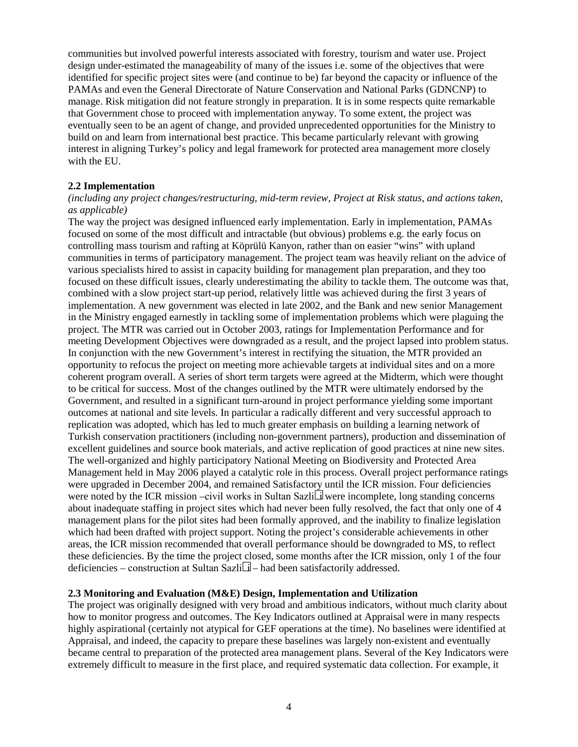communities but involved powerful interests associated with forestry, tourism and water use. Project design under-estimated the manageability of many of the issues i.e. some of the objectives that were identified for specific project sites were (and continue to be) far beyond the capacity or influence of the PAMAs and even the General Directorate of Nature Conservation and National Parks (GDNCNP) to manage. Risk mitigation did not feature strongly in preparation. It is in some respects quite remarkable that Government chose to proceed with implementation anyway. To some extent, the project was eventually seen to be an agent of change, and provided unprecedented opportunities for the Ministry to build on and learn from international best practice. This became particularly relevant with growing interest in aligning Turkey's policy and legal framework for protected area management more closely with the EU.

#### **2.2 Implementation**

#### *(including any project changes/restructuring, mid-term review, Project at Risk status, and actions taken, as applicable)*

The way the project was designed influenced early implementation. Early in implementation, PAMAs focused on some of the most difficult and intractable (but obvious) problems e.g. the early focus on controlling mass tourism and rafting at Köprülü Kanyon, rather than on easier "wins" with upland communities in terms of participatory management. The project team was heavily reliant on the advice of various specialists hired to assist in capacity building for management plan preparation, and they too focused on these difficult issues, clearly underestimating the ability to tackle them. The outcome was that, combined with a slow project start-up period, relatively little was achieved during the first 3 years of implementation. A new government was elected in late 2002, and the Bank and new senior Management in the Ministry engaged earnestly in tackling some of implementation problems which were plaguing the project. The MTR was carried out in October 2003, ratings for Implementation Performance and for meeting Development Objectives were downgraded as a result, and the project lapsed into problem status. In conjunction with the new Government's interest in rectifying the situation, the MTR provided an opportunity to refocus the project on meeting more achievable targets at individual sites and on a more coherent program overall. A series of short term targets were agreed at the Midterm, which were thought to be critical for success. Most of the changes outlined by the MTR were ultimately endorsed by the Government, and resulted in a significant turn-around in project performance yielding some important outcomes at national and site levels. In particular a radically different and very successful approach to replication was adopted, which has led to much greater emphasis on building a learning network of Turkish conservation practitioners (including non-government partners), production and dissemination of excellent guidelines and source book materials, and active replication of good practices at nine new sites. The well-organized and highly participatory National Meeting on Biodiversity and Protected Area Management held in May 2006 played a catalytic role in this process. Overall project performance ratings were upgraded in December 2004, and remained Satisfactory until the ICR mission. Four deficiencies were noted by the ICR mission –civil works in Sultan Sazli i were incomplete, long standing concerns about inadequate staffing in project sites which had never been fully resolved, the fact that only one of 4 management plans for the pilot sites had been formally approved, and the inability to finalize legislation which had been drafted with project support. Noting the project's considerable achievements in other areas, the ICR mission recommended that overall performance should be downgraded to MS, to reflect these deficiencies. By the time the project closed, some months after the ICR mission, only 1 of the four deficiencies – construction at Sultan Sazli i – had been satisfactorily addressed.

## **2.3 Monitoring and Evaluation (M&E) Design, Implementation and Utilization**

The project was originally designed with very broad and ambitious indicators, without much clarity about how to monitor progress and outcomes. The Key Indicators outlined at Appraisal were in many respects highly aspirational (certainly not atypical for GEF operations at the time). No baselines were identified at Appraisal, and indeed, the capacity to prepare these baselines was largely non-existent and eventually became central to preparation of the protected area management plans. Several of the Key Indicators were extremely difficult to measure in the first place, and required systematic data collection. For example, it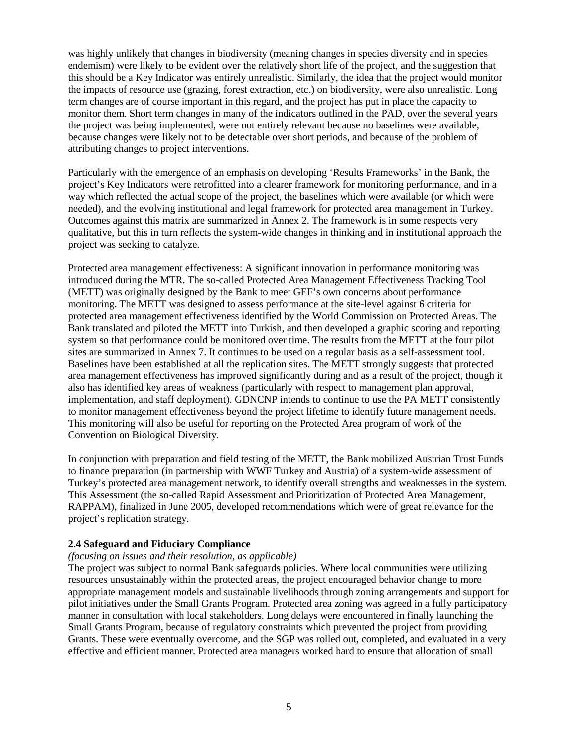was highly unlikely that changes in biodiversity (meaning changes in species diversity and in species endemism) were likely to be evident over the relatively short life of the project, and the suggestion that this should be a Key Indicator was entirely unrealistic. Similarly, the idea that the project would monitor the impacts of resource use (grazing, forest extraction, etc.) on biodiversity, were also unrealistic. Long term changes are of course important in this regard, and the project has put in place the capacity to monitor them. Short term changes in many of the indicators outlined in the PAD, over the several years the project was being implemented, were not entirely relevant because no baselines were available, because changes were likely not to be detectable over short periods, and because of the problem of attributing changes to project interventions.

Particularly with the emergence of an emphasis on developing 'Results Frameworks' in the Bank, the project's Key Indicators were retrofitted into a clearer framework for monitoring performance, and in a way which reflected the actual scope of the project, the baselines which were available (or which were needed), and the evolving institutional and legal framework for protected area management in Turkey. Outcomes against this matrix are summarized in Annex 2. The framework is in some respects very qualitative, but this in turn reflects the system-wide changes in thinking and in institutional approach the project was seeking to catalyze.

Protected area management effectiveness: A significant innovation in performance monitoring was introduced during the MTR. The so-called Protected Area Management Effectiveness Tracking Tool (METT) was originally designed by the Bank to meet GEF's own concerns about performance monitoring. The METT was designed to assess performance at the site-level against 6 criteria for protected area management effectiveness identified by the World Commission on Protected Areas. The Bank translated and piloted the METT into Turkish, and then developed a graphic scoring and reporting system so that performance could be monitored over time. The results from the METT at the four pilot sites are summarized in Annex 7. It continues to be used on a regular basis as a self-assessment tool. Baselines have been established at all the replication sites. The METT strongly suggests that protected area management effectiveness has improved significantly during and as a result of the project, though it also has identified key areas of weakness (particularly with respect to management plan approval, implementation, and staff deployment). GDNCNP intends to continue to use the PA METT consistently to monitor management effectiveness beyond the project lifetime to identify future management needs. This monitoring will also be useful for reporting on the Protected Area program of work of the Convention on Biological Diversity.

In conjunction with preparation and field testing of the METT, the Bank mobilized Austrian Trust Funds to finance preparation (in partnership with WWF Turkey and Austria) of a system-wide assessment of Turkey's protected area management network, to identify overall strengths and weaknesses in the system. This Assessment (the so-called Rapid Assessment and Prioritization of Protected Area Management, RAPPAM), finalized in June 2005, developed recommendations which were of great relevance for the project's replication strategy.

#### **2.4 Safeguard and Fiduciary Compliance**

#### *(focusing on issues and their resolution, as applicable)*

The project was subject to normal Bank safeguards policies. Where local communities were utilizing resources unsustainably within the protected areas, the project encouraged behavior change to more appropriate management models and sustainable livelihoods through zoning arrangements and support for pilot initiatives under the Small Grants Program. Protected area zoning was agreed in a fully participatory manner in consultation with local stakeholders. Long delays were encountered in finally launching the Small Grants Program, because of regulatory constraints which prevented the project from providing Grants. These were eventually overcome, and the SGP was rolled out, completed, and evaluated in a very effective and efficient manner. Protected area managers worked hard to ensure that allocation of small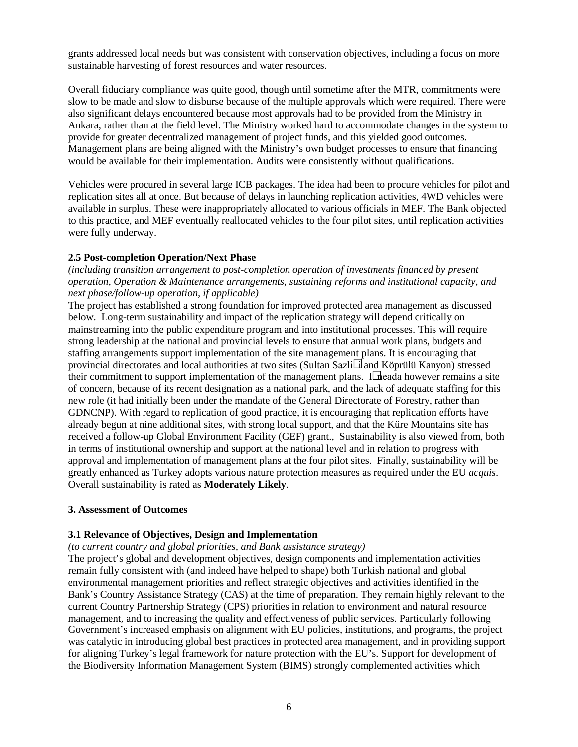grants addressed local needs but was consistent with conservation objectives, including a focus on more sustainable harvesting of forest resources and water resources.

Overall fiduciary compliance was quite good, though until sometime after the MTR, commitments were slow to be made and slow to disburse because of the multiple approvals which were required. There were also significant delays encountered because most approvals had to be provided from the Ministry in Ankara, rather than at the field level. The Ministry worked hard to accommodate changes in the system to provide for greater decentralized management of project funds, and this yielded good outcomes. Management plans are being aligned with the Ministry's own budget processes to ensure that financing would be available for their implementation. Audits were consistently without qualifications.

Vehicles were procured in several large ICB packages. The idea had been to procure vehicles for pilot and replication sites all at once. But because of delays in launching replication activities, 4WD vehicles were available in surplus. These were inappropriately allocated to various officials in MEF. The Bank objected to this practice, and MEF eventually reallocated vehicles to the four pilot sites, until replication activities were fully underway.

## **2.5 Post-completion Operation/Next Phase**

*(including transition arrangement to post-completion operation of investments financed by present operation, Operation & Maintenance arrangements, sustaining reforms and institutional capacity, and next phase/follow-up operation, if applicable)* 

The project has established a strong foundation for improved protected area management as discussed below. Long-term sustainability and impact of the replication strategy will depend critically on mainstreaming into the public expenditure program and into institutional processes. This will require strong leadership at the national and provincial levels to ensure that annual work plans, budgets and staffing arrangements support implementation of the site management plans. It is encouraging that provincial directorates and local authorities at two sites (Sultan Sazlii and Köprülü Kanyon) stressed their commitment to support implementation of the management plans. I neada however remains a site of concern, because of its recent designation as a national park, and the lack of adequate staffing for this new role (it had initially been under the mandate of the General Directorate of Forestry, rather than GDNCNP). With regard to replication of good practice, it is encouraging that replication efforts have already begun at nine additional sites, with strong local support, and that the Küre Mountains site has received a follow-up Global Environment Facility (GEF) grant., Sustainability is also viewed from, both in terms of institutional ownership and support at the national level and in relation to progress with approval and implementation of management plans at the four pilot sites. Finally, sustainability will be greatly enhanced as Turkey adopts various nature protection measures as required under the EU *acquis*. Overall sustainability is rated as **Moderately Likely**.

#### **3. Assessment of Outcomes**

## **3.1 Relevance of Objectives, Design and Implementation**

#### *(to current country and global priorities, and Bank assistance strategy)*

The project's global and development objectives, design components and implementation activities remain fully consistent with (and indeed have helped to shape) both Turkish national and global environmental management priorities and reflect strategic objectives and activities identified in the Bank's Country Assistance Strategy (CAS) at the time of preparation. They remain highly relevant to the current Country Partnership Strategy (CPS) priorities in relation to environment and natural resource management, and to increasing the quality and effectiveness of public services. Particularly following Government's increased emphasis on alignment with EU policies, institutions, and programs, the project was catalytic in introducing global best practices in protected area management, and in providing support for aligning Turkey's legal framework for nature protection with the EU's. Support for development of the Biodiversity Information Management System (BIMS) strongly complemented activities which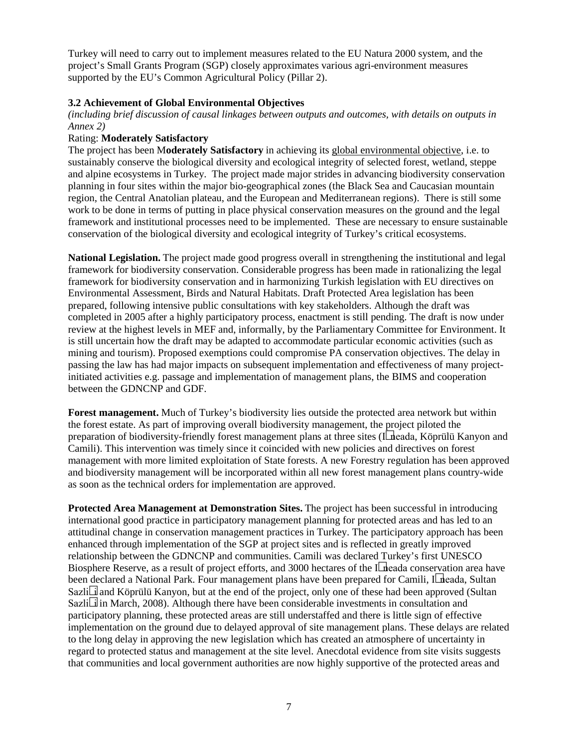Turkey will need to carry out to implement measures related to the EU Natura 2000 system, and the project's Small Grants Program (SGP) closely approximates various agri-environment measures supported by the EU's Common Agricultural Policy (Pillar 2).

## **3.2 Achievement of Global Environmental Objectives**

*(including brief discussion of causal linkages between outputs and outcomes, with details on outputs in Annex 2)*

## Rating: **Moderately Satisfactory**

The project has been M**oderately Satisfactory** in achieving its global environmental objective, i.e. to sustainably conserve the biological diversity and ecological integrity of selected forest, wetland, steppe and alpine ecosystems in Turkey. The project made major strides in advancing biodiversity conservation planning in four sites within the major bio-geographical zones (the Black Sea and Caucasian mountain region, the Central Anatolian plateau, and the European and Mediterranean regions). There is still some work to be done in terms of putting in place physical conservation measures on the ground and the legal framework and institutional processes need to be implemented. These are necessary to ensure sustainable conservation of the biological diversity and ecological integrity of Turkey's critical ecosystems.

**National Legislation.** The project made good progress overall in strengthening the institutional and legal framework for biodiversity conservation. Considerable progress has been made in rationalizing the legal framework for biodiversity conservation and in harmonizing Turkish legislation with EU directives on Environmental Assessment, Birds and Natural Habitats. Draft Protected Area legislation has been prepared, following intensive public consultations with key stakeholders. Although the draft was completed in 2005 after a highly participatory process, enactment is still pending. The draft is now under review at the highest levels in MEF and, informally, by the Parliamentary Committee for Environment. It is still uncertain how the draft may be adapted to accommodate particular economic activities (such as mining and tourism). Proposed exemptions could compromise PA conservation objectives. The delay in passing the law has had major impacts on subsequent implementation and effectiveness of many projectinitiated activities e.g. passage and implementation of management plans, the BIMS and cooperation between the GDNCNP and GDF.

**Forest management.** Much of Turkey's biodiversity lies outside the protected area network but within the forest estate. As part of improving overall biodiversity management, the project piloted the preparation of biodiversity-friendly forest management plans at three sites (Ineada, Köprülü Kanyon and Camili). This intervention was timely since it coincided with new policies and directives on forest management with more limited exploitation of State forests. A new Forestry regulation has been approved and biodiversity management will be incorporated within all new forest management plans country-wide as soon as the technical orders for implementation are approved.

**Protected Area Management at Demonstration Sites.** The project has been successful in introducing international good practice in participatory management planning for protected areas and has led to an attitudinal change in conservation management practices in Turkey. The participatory approach has been enhanced through implementation of the SGP at project sites and is reflected in greatly improved relationship between the GDNCNP and communities. Camili was declared Turkey's first UNESCO Biosphere Reserve, as a result of project efforts, and 3000 hectares of the I neada conservation area have been declared a National Park. Four management plans have been prepared for Camili, I neada, Sultan Sazli i and Köprülü Kanyon, but at the end of the project, only one of these had been approved (Sultan Sazli i in March, 2008). Although there have been considerable investments in consultation and participatory planning, these protected areas are still understaffed and there is little sign of effective implementation on the ground due to delayed approval of site management plans. These delays are related to the long delay in approving the new legislation which has created an atmosphere of uncertainty in regard to protected status and management at the site level. Anecdotal evidence from site visits suggests that communities and local government authorities are now highly supportive of the protected areas and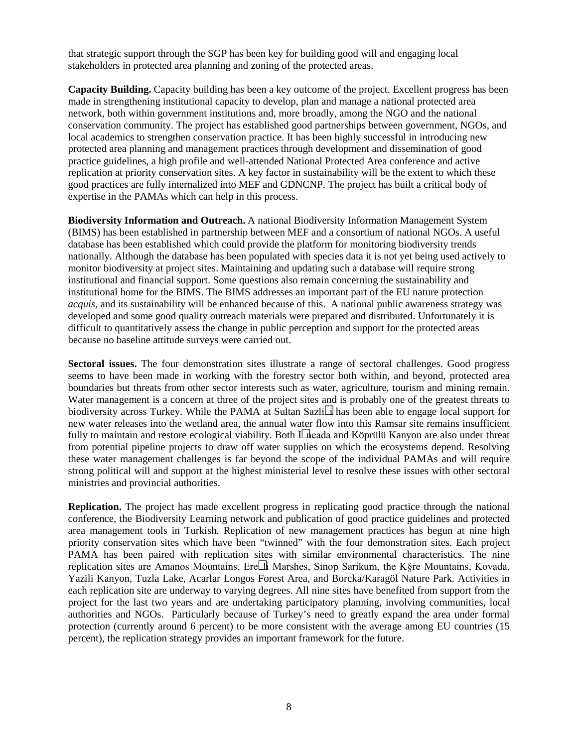that strategic support through the SGP has been key for building good will and engaging local stakeholders in protected area planning and zoning of the protected areas.

**Capacity Building.** Capacity building has been a key outcome of the project. Excellent progress has been made in strengthening institutional capacity to develop, plan and manage a national protected area network, both within government institutions and, more broadly, among the NGO and the national conservation community. The project has established good partnerships between government, NGOs, and local academics to strengthen conservation practice. It has been highly successful in introducing new protected area planning and management practices through development and dissemination of good practice guidelines, a high profile and well-attended National Protected Area conference and active replication at priority conservation sites. A key factor in sustainability will be the extent to which these good practices are fully internalized into MEF and GDNCNP. The project has built a critical body of expertise in the PAMAs which can help in this process.

**Biodiversity Information and Outreach.** A national Biodiversity Information Management System (BIMS) has been established in partnership between MEF and a consortium of national NGOs. A useful database has been established which could provide the platform for monitoring biodiversity trends nationally. Although the database has been populated with species data it is not yet being used actively to monitor biodiversity at project sites. Maintaining and updating such a database will require strong institutional and financial support. Some questions also remain concerning the sustainability and institutional home for the BIMS. The BIMS addresses an important part of the EU nature protection *acquis*, and its sustainability will be enhanced because of this. A national public awareness strategy was developed and some good quality outreach materials were prepared and distributed. Unfortunately it is difficult to quantitatively assess the change in public perception and support for the protected areas because no baseline attitude surveys were carried out.

**Sectoral issues.** The four demonstration sites illustrate a range of sectoral challenges. Good progress seems to have been made in working with the forestry sector both within, and beyond, protected area boundaries but threats from other sector interests such as water, agriculture, tourism and mining remain. Water management is a concern at three of the project sites and is probably one of the greatest threats to biodiversity across Turkey. While the PAMA at Sultan Sazli i has been able to engage local support for new water releases into the wetland area, the annual water flow into this Ramsar site remains insufficient fully to maintain and restore ecological viability. Both I neada and Köprülü Kanyon are also under threat from potential pipeline projects to draw off water supplies on which the ecosystems depend. Resolving these water management challenges is far beyond the scope of the individual PAMAs and will require strong political will and support at the highest ministerial level to resolve these issues with other sectoral ministries and provincial authorities.

**Replication.** The project has made excellent progress in replicating good practice through the national conference, the Biodiversity Learning network and publication of good practice guidelines and protected area management tools in Turkish. Replication of new management practices has begun at nine high priority conservation sites which have been "twinned" with the four demonstration sites. Each project PAMA has been paired with replication sites with similar environmental characteristics. The nine replication sites are Amanos Mountains, Ere li Marshes, Sinop Sarikum, the K $\S$ re Mountains, Kovada, Yazili Kanyon, Tuzla Lake, Acarlar Longos Forest Area, and Borcka/Karagöl Nature Park. Activities in each replication site are underway to varying degrees. All nine sites have benefited from support from the project for the last two years and are undertaking participatory planning, involving communities, local authorities and NGOs. Particularly because of Turkey's need to greatly expand the area under formal protection (currently around 6 percent) to be more consistent with the average among EU countries (15 percent), the replication strategy provides an important framework for the future.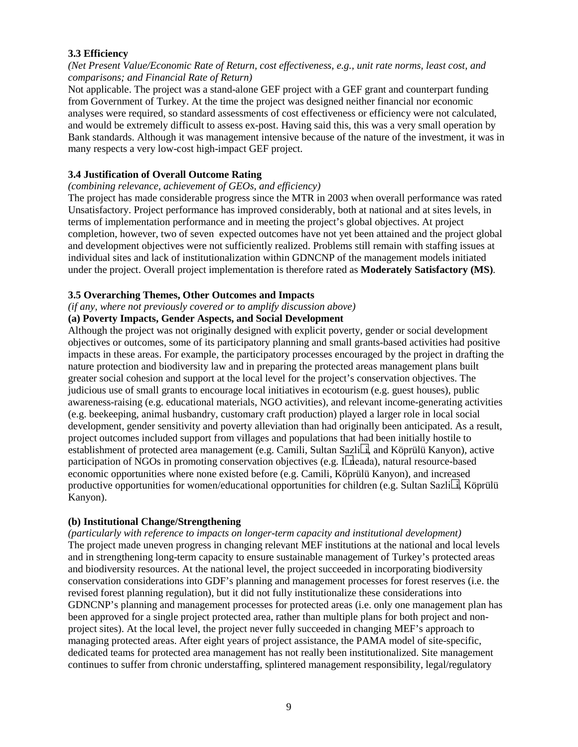## **3.3 Efficiency**

*(Net Present Value/Economic Rate of Return, cost effectiveness, e.g., unit rate norms, least cost, and comparisons; and Financial Rate of Return)* 

Not applicable. The project was a stand-alone GEF project with a GEF grant and counterpart funding from Government of Turkey. At the time the project was designed neither financial nor economic analyses were required, so standard assessments of cost effectiveness or efficiency were not calculated, and would be extremely difficult to assess ex-post. Having said this, this was a very small operation by Bank standards. Although it was management intensive because of the nature of the investment, it was in many respects a very low-cost high-impact GEF project.

## **3.4 Justification of Overall Outcome Rating**

#### *(combining relevance, achievement of GEOs, and efficiency)*

The project has made considerable progress since the MTR in 2003 when overall performance was rated Unsatisfactory. Project performance has improved considerably, both at national and at sites levels, in terms of implementation performance and in meeting the project's global objectives. At project completion, however, two of seven expected outcomes have not yet been attained and the project global and development objectives were not sufficiently realized. Problems still remain with staffing issues at individual sites and lack of institutionalization within GDNCNP of the management models initiated under the project. Overall project implementation is therefore rated as **Moderately Satisfactory (MS)**.

#### **3.5 Overarching Themes, Other Outcomes and Impacts**

*(if any, where not previously covered or to amplify discussion above)*

## **(a) Poverty Impacts, Gender Aspects, and Social Development**

Although the project was not originally designed with explicit poverty, gender or social development objectives or outcomes, some of its participatory planning and small grants-based activities had positive impacts in these areas. For example, the participatory processes encouraged by the project in drafting the nature protection and biodiversity law and in preparing the protected areas management plans built greater social cohesion and support at the local level for the project's conservation objectives. The judicious use of small grants to encourage local initiatives in ecotourism (e.g. guest houses), public awareness-raising (e.g. educational materials, NGO activities), and relevant income-generating activities (e.g. beekeeping, animal husbandry, customary craft production) played a larger role in local social development, gender sensitivity and poverty alleviation than had originally been anticipated. As a result, project outcomes included support from villages and populations that had been initially hostile to establishment of protected area management (e.g. Camili, Sultan Sazlii, and Köprülü Kanyon), active participation of NGOs in promoting conservation objectives (e.g. I neada), natural resource-based economic opportunities where none existed before (e.g. Camili, Köprülü Kanyon), and increased productive opportunities for women/educational opportunities for children (e.g. Sultan Sazlii, Köprülü Kanyon).

## **(b) Institutional Change/Strengthening**

*(particularly with reference to impacts on longer-term capacity and institutional development)* The project made uneven progress in changing relevant MEF institutions at the national and local levels and in strengthening long-term capacity to ensure sustainable management of Turkey's protected areas and biodiversity resources. At the national level, the project succeeded in incorporating biodiversity conservation considerations into GDF's planning and management processes for forest reserves (i.e. the revised forest planning regulation), but it did not fully institutionalize these considerations into GDNCNP's planning and management processes for protected areas (i.e. only one management plan has been approved for a single project protected area, rather than multiple plans for both project and nonproject sites). At the local level, the project never fully succeeded in changing MEF's approach to managing protected areas. After eight years of project assistance, the PAMA model of site-specific, dedicated teams for protected area management has not really been institutionalized. Site management continues to suffer from chronic understaffing, splintered management responsibility, legal/regulatory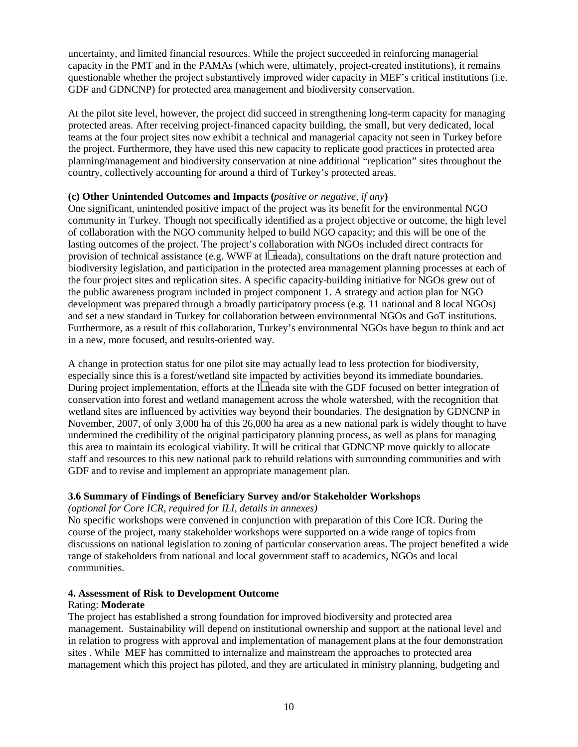uncertainty, and limited financial resources. While the project succeeded in reinforcing managerial capacity in the PMT and in the PAMAs (which were, ultimately, project-created institutions), it remains questionable whether the project substantively improved wider capacity in MEF's critical institutions (i.e. GDF and GDNCNP) for protected area management and biodiversity conservation.

At the pilot site level, however, the project did succeed in strengthening long-term capacity for managing protected areas. After receiving project-financed capacity building, the small, but very dedicated, local teams at the four project sites now exhibit a technical and managerial capacity not seen in Turkey before the project. Furthermore, they have used this new capacity to replicate good practices in protected area planning/management and biodiversity conservation at nine additional "replication" sites throughout the country, collectively accounting for around a third of Turkey's protected areas.

## **(c) Other Unintended Outcomes and Impacts (***positive or negative, if any***)**

One significant, unintended positive impact of the project was its benefit for the environmental NGO community in Turkey. Though not specifically identified as a project objective or outcome, the high level of collaboration with the NGO community helped to build NGO capacity; and this will be one of the lasting outcomes of the project. The project's collaboration with NGOs included direct contracts for provision of technical assistance (e.g. WWF at I neada), consultations on the draft nature protection and biodiversity legislation, and participation in the protected area management planning processes at each of the four project sites and replication sites. A specific capacity-building initiative for NGOs grew out of the public awareness program included in project component 1. A strategy and action plan for NGO development was prepared through a broadly participatory process (e.g. 11 national and 8 local NGOs) and set a new standard in Turkey for collaboration between environmental NGOs and GoT institutions. Furthermore, as a result of this collaboration, Turkey's environmental NGOs have begun to think and act in a new, more focused, and results-oriented way.

A change in protection status for one pilot site may actually lead to less protection for biodiversity, especially since this is a forest/wetland site impacted by activities beyond its immediate boundaries. During project implementation, efforts at the I neada site with the GDF focused on better integration of conservation into forest and wetland management across the whole watershed, with the recognition that wetland sites are influenced by activities way beyond their boundaries. The designation by GDNCNP in November, 2007, of only 3,000 ha of this 26,000 ha area as a new national park is widely thought to have undermined the credibility of the original participatory planning process, as well as plans for managing this area to maintain its ecological viability. It will be critical that GDNCNP move quickly to allocate staff and resources to this new national park to rebuild relations with surrounding communities and with GDF and to revise and implement an appropriate management plan.

## **3.6 Summary of Findings of Beneficiary Survey and/or Stakeholder Workshops**

## *(optional for Core ICR, required for ILI, details in annexes)*

No specific workshops were convened in conjunction with preparation of this Core ICR. During the course of the project, many stakeholder workshops were supported on a wide range of topics from discussions on national legislation to zoning of particular conservation areas. The project benefited a wide range of stakeholders from national and local government staff to academics, NGOs and local communities.

## **4. Assessment of Risk to Development Outcome**

## Rating: **Moderate**

The project has established a strong foundation for improved biodiversity and protected area management. Sustainability will depend on institutional ownership and support at the national level and in relation to progress with approval and implementation of management plans at the four demonstration sites . While MEF has committed to internalize and mainstream the approaches to protected area management which this project has piloted, and they are articulated in ministry planning, budgeting and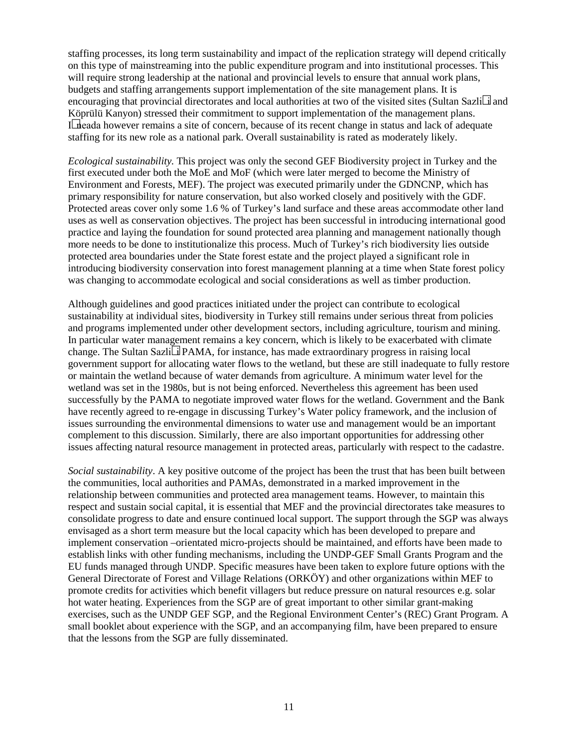staffing processes, its long term sustainability and impact of the replication strategy will depend critically on this type of mainstreaming into the public expenditure program and into institutional processes. This will require strong leadership at the national and provincial levels to ensure that annual work plans, budgets and staffing arrangements support implementation of the site management plans. It is encouraging that provincial directorates and local authorities at two of the visited sites (Sultan Sazli i and Köprülü Kanyon) stressed their commitment to support implementation of the management plans. Ineada however remains a site of concern, because of its recent change in status and lack of adequate staffing for its new role as a national park. Overall sustainability is rated as moderately likely.

*Ecological sustainability.* This project was only the second GEF Biodiversity project in Turkey and the first executed under both the MoE and MoF (which were later merged to become the Ministry of Environment and Forests, MEF). The project was executed primarily under the GDNCNP, which has primary responsibility for nature conservation, but also worked closely and positively with the GDF. Protected areas cover only some 1.6 % of Turkey's land surface and these areas accommodate other land uses as well as conservation objectives. The project has been successful in introducing international good practice and laying the foundation for sound protected area planning and management nationally though more needs to be done to institutionalize this process. Much of Turkey's rich biodiversity lies outside protected area boundaries under the State forest estate and the project played a significant role in introducing biodiversity conservation into forest management planning at a time when State forest policy was changing to accommodate ecological and social considerations as well as timber production.

Although guidelines and good practices initiated under the project can contribute to ecological sustainability at individual sites, biodiversity in Turkey still remains under serious threat from policies and programs implemented under other development sectors, including agriculture, tourism and mining. In particular water management remains a key concern, which is likely to be exacerbated with climate change. The Sultan Sazlii PAMA, for instance, has made extraordinary progress in raising local government support for allocating water flows to the wetland, but these are still inadequate to fully restore or maintain the wetland because of water demands from agriculture. A minimum water level for the wetland was set in the 1980s, but is not being enforced. Nevertheless this agreement has been used successfully by the PAMA to negotiate improved water flows for the wetland. Government and the Bank have recently agreed to re-engage in discussing Turkey's Water policy framework, and the inclusion of issues surrounding the environmental dimensions to water use and management would be an important complement to this discussion. Similarly, there are also important opportunities for addressing other issues affecting natural resource management in protected areas, particularly with respect to the cadastre.

*Social sustainability*. A key positive outcome of the project has been the trust that has been built between the communities, local authorities and PAMAs, demonstrated in a marked improvement in the relationship between communities and protected area management teams. However, to maintain this respect and sustain social capital, it is essential that MEF and the provincial directorates take measures to consolidate progress to date and ensure continued local support. The support through the SGP was always envisaged as a short term measure but the local capacity which has been developed to prepare and implement conservation –orientated micro-projects should be maintained, and efforts have been made to establish links with other funding mechanisms, including the UNDP-GEF Small Grants Program and the EU funds managed through UNDP. Specific measures have been taken to explore future options with the General Directorate of Forest and Village Relations (ORKÖY) and other organizations within MEF to promote credits for activities which benefit villagers but reduce pressure on natural resources e.g. solar hot water heating. Experiences from the SGP are of great important to other similar grant-making exercises, such as the UNDP GEF SGP, and the Regional Environment Center's (REC) Grant Program. A small booklet about experience with the SGP, and an accompanying film, have been prepared to ensure that the lessons from the SGP are fully disseminated.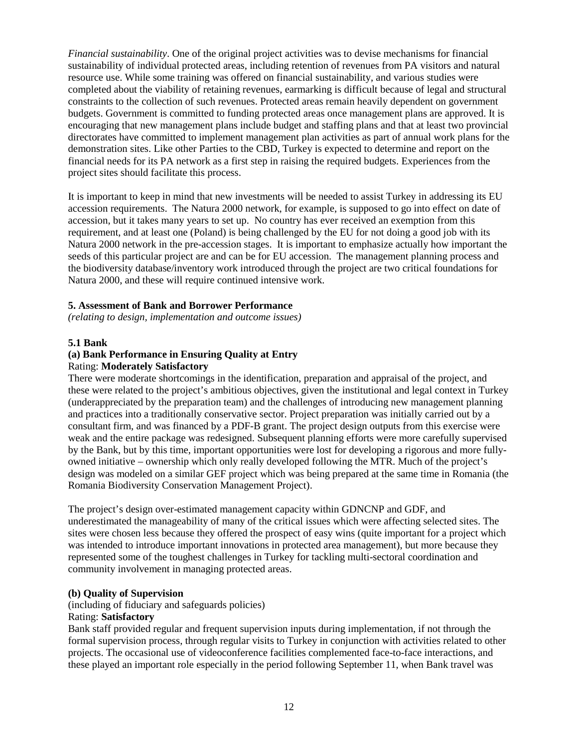*Financial sustainability*. One of the original project activities was to devise mechanisms for financial sustainability of individual protected areas, including retention of revenues from PA visitors and natural resource use. While some training was offered on financial sustainability, and various studies were completed about the viability of retaining revenues, earmarking is difficult because of legal and structural constraints to the collection of such revenues. Protected areas remain heavily dependent on government budgets. Government is committed to funding protected areas once management plans are approved. It is encouraging that new management plans include budget and staffing plans and that at least two provincial directorates have committed to implement management plan activities as part of annual work plans for the demonstration sites. Like other Parties to the CBD, Turkey is expected to determine and report on the financial needs for its PA network as a first step in raising the required budgets. Experiences from the project sites should facilitate this process.

It is important to keep in mind that new investments will be needed to assist Turkey in addressing its EU accession requirements. The Natura 2000 network, for example, is supposed to go into effect on date of accession, but it takes many years to set up. No country has ever received an exemption from this requirement, and at least one (Poland) is being challenged by the EU for not doing a good job with its Natura 2000 network in the pre-accession stages. It is important to emphasize actually how important the seeds of this particular project are and can be for EU accession. The management planning process and the biodiversity database/inventory work introduced through the project are two critical foundations for Natura 2000, and these will require continued intensive work.

## **5. Assessment of Bank and Borrower Performance**

*(relating to design, implementation and outcome issues)*

## **5.1 Bank**

#### **(a) Bank Performance in Ensuring Quality at Entry**  Rating: **Moderately Satisfactory**

There were moderate shortcomings in the identification, preparation and appraisal of the project, and these were related to the project's ambitious objectives, given the institutional and legal context in Turkey (underappreciated by the preparation team) and the challenges of introducing new management planning and practices into a traditionally conservative sector. Project preparation was initially carried out by a consultant firm, and was financed by a PDF-B grant. The project design outputs from this exercise were weak and the entire package was redesigned. Subsequent planning efforts were more carefully supervised by the Bank, but by this time, important opportunities were lost for developing a rigorous and more fullyowned initiative – ownership which only really developed following the MTR. Much of the project's design was modeled on a similar GEF project which was being prepared at the same time in Romania (the Romania Biodiversity Conservation Management Project).

The project's design over-estimated management capacity within GDNCNP and GDF, and underestimated the manageability of many of the critical issues which were affecting selected sites. The sites were chosen less because they offered the prospect of easy wins (quite important for a project which was intended to introduce important innovations in protected area management), but more because they represented some of the toughest challenges in Turkey for tackling multi-sectoral coordination and community involvement in managing protected areas.

## **(b) Quality of Supervision**

(including of fiduciary and safeguards policies)

#### Rating: **Satisfactory**

Bank staff provided regular and frequent supervision inputs during implementation, if not through the formal supervision process, through regular visits to Turkey in conjunction with activities related to other projects. The occasional use of videoconference facilities complemented face-to-face interactions, and these played an important role especially in the period following September 11, when Bank travel was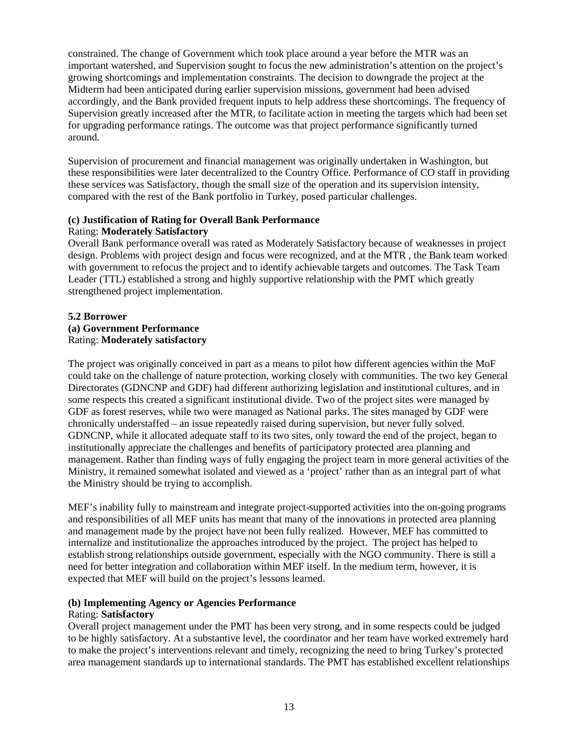constrained. The change of Government which took place around a year before the MTR was an important watershed, and Supervision sought to focus the new administration's attention on the project's growing shortcomings and implementation constraints. The decision to downgrade the project at the Midterm had been anticipated during earlier supervision missions, government had been advised accordingly, and the Bank provided frequent inputs to help address these shortcomings. The frequency of Supervision greatly increased after the MTR, to facilitate action in meeting the targets which had been set for upgrading performance ratings. The outcome was that project performance significantly turned around.

Supervision of procurement and financial management was originally undertaken in Washington, but these responsibilities were later decentralized to the Country Office. Performance of CO staff in providing these services was Satisfactory, though the small size of the operation and its supervision intensity, compared with the rest of the Bank portfolio in Turkey, posed particular challenges.

## **(c) Justification of Rating for Overall Bank Performance** Rating: **Moderately Satisfactory**

Overall Bank performance overall was rated as Moderately Satisfactory because of weaknesses in project design. Problems with project design and focus were recognized, and at the MTR , the Bank team worked with government to refocus the project and to identify achievable targets and outcomes. The Task Team Leader (TTL) established a strong and highly supportive relationship with the PMT which greatly strengthened project implementation.

## **5.2 Borrower (a) Government Performance** Rating: **Moderately satisfactory**

The project was originally conceived in part as a means to pilot how different agencies within the MoF could take on the challenge of nature protection, working closely with communities. The two key General Directorates (GDNCNP and GDF) had different authorizing legislation and institutional cultures, and in some respects this created a significant institutional divide. Two of the project sites were managed by GDF as forest reserves, while two were managed as National parks. The sites managed by GDF were chronically understaffed – an issue repeatedly raised during supervision, but never fully solved. GDNCNP, while it allocated adequate staff to its two sites, only toward the end of the project, began to institutionally appreciate the challenges and benefits of participatory protected area planning and management. Rather than finding ways of fully engaging the project team in more general activities of the Ministry, it remained somewhat isolated and viewed as a 'project' rather than as an integral part of what the Ministry should be trying to accomplish.

MEF's inability fully to mainstream and integrate project-supported activities into the on-going programs and responsibilities of all MEF units has meant that many of the innovations in protected area planning and management made by the project have not been fully realized. However, MEF has committed to internalize and institutionalize the approaches introduced by the project. The project has helped to establish strong relationships outside government, especially with the NGO community. There is still a need for better integration and collaboration within MEF itself. In the medium term, however, it is expected that MEF will build on the project's lessons learned.

# **(b) Implementing Agency or Agencies Performance**

## Rating: **Satisfactory**

Overall project management under the PMT has been very strong, and in some respects could be judged to be highly satisfactory. At a substantive level, the coordinator and her team have worked extremely hard to make the project's interventions relevant and timely, recognizing the need to bring Turkey's protected area management standards up to international standards. The PMT has established excellent relationships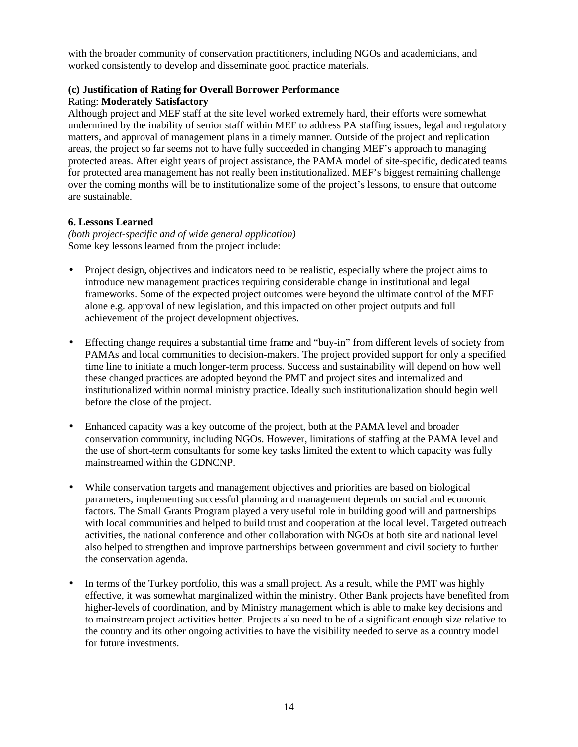with the broader community of conservation practitioners, including NGOs and academicians, and worked consistently to develop and disseminate good practice materials.

## **(c) Justification of Rating for Overall Borrower Performance**

## Rating: **Moderately Satisfactory**

Although project and MEF staff at the site level worked extremely hard, their efforts were somewhat undermined by the inability of senior staff within MEF to address PA staffing issues, legal and regulatory matters, and approval of management plans in a timely manner. Outside of the project and replication areas, the project so far seems not to have fully succeeded in changing MEF's approach to managing protected areas. After eight years of project assistance, the PAMA model of site-specific, dedicated teams for protected area management has not really been institutionalized. MEF's biggest remaining challenge over the coming months will be to institutionalize some of the project's lessons, to ensure that outcome are sustainable.

## **6. Lessons Learned**

*(both project-specific and of wide general application)* Some key lessons learned from the project include:

- Project design, objectives and indicators need to be realistic, especially where the project aims to introduce new management practices requiring considerable change in institutional and legal frameworks. Some of the expected project outcomes were beyond the ultimate control of the MEF alone e.g. approval of new legislation, and this impacted on other project outputs and full achievement of the project development objectives.
- Effecting change requires a substantial time frame and "buy-in" from different levels of society from PAMAs and local communities to decision-makers. The project provided support for only a specified time line to initiate a much longer-term process. Success and sustainability will depend on how well these changed practices are adopted beyond the PMT and project sites and internalized and institutionalized within normal ministry practice. Ideally such institutionalization should begin well before the close of the project.
- Enhanced capacity was a key outcome of the project, both at the PAMA level and broader conservation community, including NGOs. However, limitations of staffing at the PAMA level and the use of short-term consultants for some key tasks limited the extent to which capacity was fully mainstreamed within the GDNCNP.
- While conservation targets and management objectives and priorities are based on biological parameters, implementing successful planning and management depends on social and economic factors. The Small Grants Program played a very useful role in building good will and partnerships with local communities and helped to build trust and cooperation at the local level. Targeted outreach activities, the national conference and other collaboration with NGOs at both site and national level also helped to strengthen and improve partnerships between government and civil society to further the conservation agenda.
- In terms of the Turkey portfolio, this was a small project. As a result, while the PMT was highly effective, it was somewhat marginalized within the ministry. Other Bank projects have benefited from higher-levels of coordination, and by Ministry management which is able to make key decisions and to mainstream project activities better. Projects also need to be of a significant enough size relative to the country and its other ongoing activities to have the visibility needed to serve as a country model for future investments.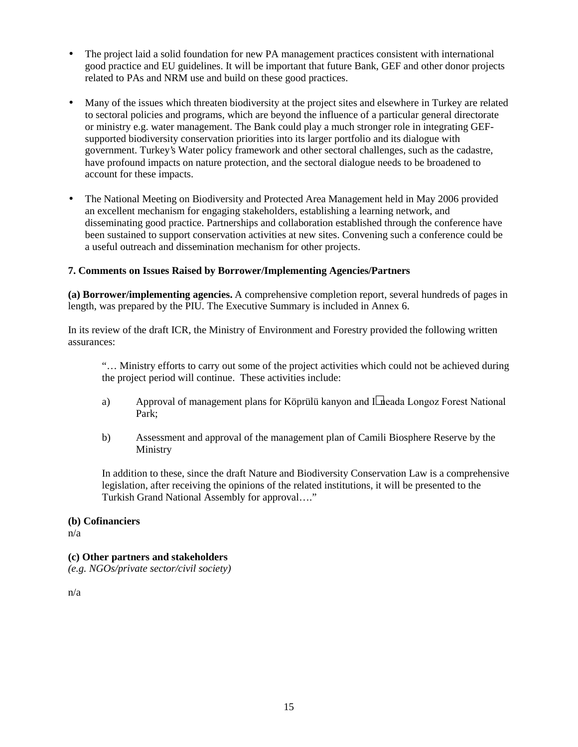- The project laid a solid foundation for new PA management practices consistent with international good practice and EU guidelines. It will be important that future Bank, GEF and other donor projects related to PAs and NRM use and build on these good practices.
- Many of the issues which threaten biodiversity at the project sites and elsewhere in Turkey are related to sectoral policies and programs, which are beyond the influence of a particular general directorate or ministry e.g. water management. The Bank could play a much stronger role in integrating GEFsupported biodiversity conservation priorities into its larger portfolio and its dialogue with government. Turkey's Water policy framework and other sectoral challenges, such as the cadastre, have profound impacts on nature protection, and the sectoral dialogue needs to be broadened to account for these impacts.
- The National Meeting on Biodiversity and Protected Area Management held in May 2006 provided an excellent mechanism for engaging stakeholders, establishing a learning network, and disseminating good practice. Partnerships and collaboration established through the conference have been sustained to support conservation activities at new sites. Convening such a conference could be a useful outreach and dissemination mechanism for other projects.

## **7. Comments on Issues Raised by Borrower/Implementing Agencies/Partners**

**(a) Borrower/implementing agencies.** A comprehensive completion report, several hundreds of pages in length, was prepared by the PIU. The Executive Summary is included in Annex 6.

In its review of the draft ICR, the Ministry of Environment and Forestry provided the following written assurances:

"… Ministry efforts to carry out some of the project activities which could not be achieved during the project period will continue. These activities include:

- a) Approval of management plans for Köprülü kanyon and Ineada Longoz Forest National Park;
- b) Assessment and approval of the management plan of Camili Biosphere Reserve by the Ministry

In addition to these, since the draft Nature and Biodiversity Conservation Law is a comprehensive legislation, after receiving the opinions of the related institutions, it will be presented to the Turkish Grand National Assembly for approval…."

#### **(b) Cofinanciers**

n/a

## **(c) Other partners and stakeholders**

*(e.g. NGOs/private sector/civil society)* 

n/a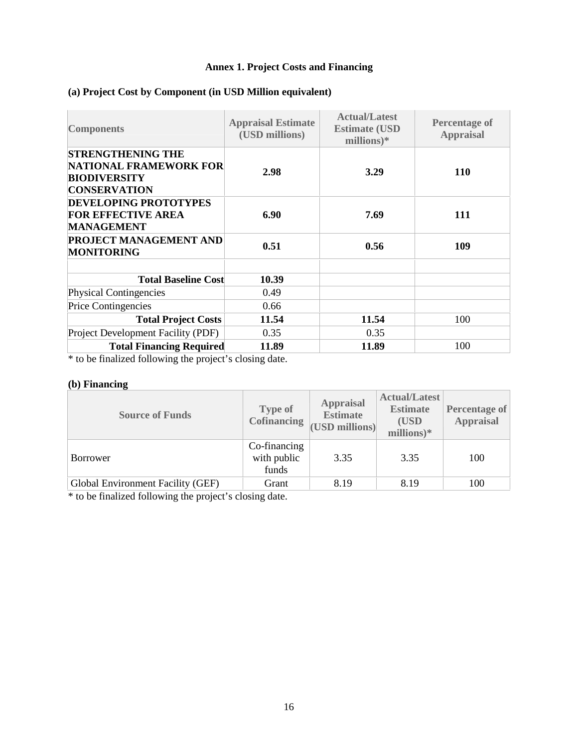## **Annex 1. Project Costs and Financing**

## **(a) Project Cost by Component (in USD Million equivalent)**

| <b>Components</b>                                                                                       | <b>Appraisal Estimate</b><br>(USD millions) | <b>Actual/Latest</b><br><b>Estimate (USD)</b><br>millions) $*$ | <b>Percentage of</b><br><b>Appraisal</b> |
|---------------------------------------------------------------------------------------------------------|---------------------------------------------|----------------------------------------------------------------|------------------------------------------|
| <b>STRENGTHENING THE</b><br><b>NATIONAL FRAMEWORK FOR</b><br><b>BIODIVERSITY</b><br><b>CONSERVATION</b> | 2.98                                        | 3.29                                                           | <b>110</b>                               |
| <b>DEVELOPING PROTOTYPES</b><br><b>FOR EFFECTIVE AREA</b><br><b>MANAGEMENT</b>                          | 6.90                                        | 7.69                                                           | 111                                      |
| PROJECT MANAGEMENT AND<br><b>MONITORING</b>                                                             | 0.51                                        | 0.56                                                           | 109                                      |
|                                                                                                         |                                             |                                                                |                                          |
| <b>Total Baseline Cost</b>                                                                              | 10.39                                       |                                                                |                                          |
| <b>Physical Contingencies</b>                                                                           | 0.49                                        |                                                                |                                          |
| Price Contingencies                                                                                     | 0.66                                        |                                                                |                                          |
| <b>Total Project Costs</b>                                                                              | 11.54                                       | 11.54                                                          | 100                                      |
| Project Development Facility (PDF)                                                                      | 0.35                                        | 0.35                                                           |                                          |
| <b>Total Financing Required</b>                                                                         | 11.89                                       | 11.89                                                          | 100                                      |

\* to be finalized following the project's closing date.

## **(b) Financing**

| <b>Source of Funds</b>            | <b>Type of</b><br><b>Cofinancing</b> | <b>Appraisal</b><br><b>Estimate</b><br>(USD millions) | <b>Actual/Latest</b><br><b>Estimate</b><br>(USD)<br>millions) $*$ | <b>Percentage of</b><br><b>Appraisal</b> |
|-----------------------------------|--------------------------------------|-------------------------------------------------------|-------------------------------------------------------------------|------------------------------------------|
| Borrower                          | Co-financing<br>with public<br>funds | 3.35                                                  | 3.35                                                              | 100                                      |
| Global Environment Facility (GEF) | Grant                                | 8.19                                                  | 8.19                                                              | 100                                      |

\* to be finalized following the project's closing date.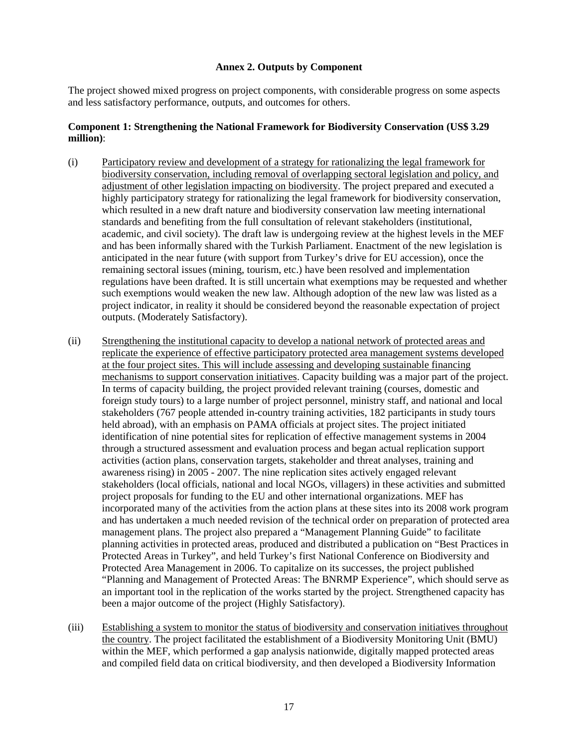## **Annex 2. Outputs by Component**

The project showed mixed progress on project components, with considerable progress on some aspects and less satisfactory performance, outputs, and outcomes for others.

## **Component 1: Strengthening the National Framework for Biodiversity Conservation (US\$ 3.29 million)**:

- (i) Participatory review and development of a strategy for rationalizing the legal framework for biodiversity conservation, including removal of overlapping sectoral legislation and policy, and adjustment of other legislation impacting on biodiversity. The project prepared and executed a highly participatory strategy for rationalizing the legal framework for biodiversity conservation, which resulted in a new draft nature and biodiversity conservation law meeting international standards and benefiting from the full consultation of relevant stakeholders (institutional, academic, and civil society). The draft law is undergoing review at the highest levels in the MEF and has been informally shared with the Turkish Parliament. Enactment of the new legislation is anticipated in the near future (with support from Turkey's drive for EU accession), once the remaining sectoral issues (mining, tourism, etc.) have been resolved and implementation regulations have been drafted. It is still uncertain what exemptions may be requested and whether such exemptions would weaken the new law. Although adoption of the new law was listed as a project indicator, in reality it should be considered beyond the reasonable expectation of project outputs. (Moderately Satisfactory).
- (ii) Strengthening the institutional capacity to develop a national network of protected areas and replicate the experience of effective participatory protected area management systems developed at the four project sites. This will include assessing and developing sustainable financing mechanisms to support conservation initiatives. Capacity building was a major part of the project. In terms of capacity building, the project provided relevant training (courses, domestic and foreign study tours) to a large number of project personnel, ministry staff, and national and local stakeholders (767 people attended in-country training activities, 182 participants in study tours held abroad), with an emphasis on PAMA officials at project sites. The project initiated identification of nine potential sites for replication of effective management systems in 2004 through a structured assessment and evaluation process and began actual replication support activities (action plans, conservation targets, stakeholder and threat analyses, training and awareness rising) in 2005 - 2007. The nine replication sites actively engaged relevant stakeholders (local officials, national and local NGOs, villagers) in these activities and submitted project proposals for funding to the EU and other international organizations. MEF has incorporated many of the activities from the action plans at these sites into its 2008 work program and has undertaken a much needed revision of the technical order on preparation of protected area management plans. The project also prepared a "Management Planning Guide" to facilitate planning activities in protected areas, produced and distributed a publication on "Best Practices in Protected Areas in Turkey", and held Turkey's first National Conference on Biodiversity and Protected Area Management in 2006. To capitalize on its successes, the project published "Planning and Management of Protected Areas: The BNRMP Experience", which should serve as an important tool in the replication of the works started by the project. Strengthened capacity has been a major outcome of the project (Highly Satisfactory).
- (iii) Establishing a system to monitor the status of biodiversity and conservation initiatives throughout the country. The project facilitated the establishment of a Biodiversity Monitoring Unit (BMU) within the MEF, which performed a gap analysis nationwide, digitally mapped protected areas and compiled field data on critical biodiversity, and then developed a Biodiversity Information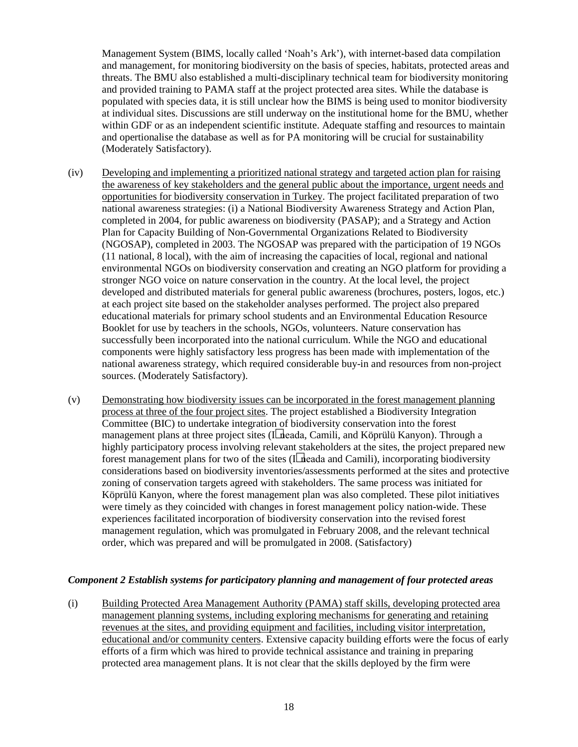Management System (BIMS, locally called 'Noah's Ark'), with internet-based data compilation and management, for monitoring biodiversity on the basis of species, habitats, protected areas and threats. The BMU also established a multi-disciplinary technical team for biodiversity monitoring and provided training to PAMA staff at the project protected area sites. While the database is populated with species data, it is still unclear how the BIMS is being used to monitor biodiversity at individual sites. Discussions are still underway on the institutional home for the BMU, whether within GDF or as an independent scientific institute. Adequate staffing and resources to maintain and opertionalise the database as well as for PA monitoring will be crucial for sustainability (Moderately Satisfactory).

- (iv) Developing and implementing a prioritized national strategy and targeted action plan for raising the awareness of key stakeholders and the general public about the importance, urgent needs and opportunities for biodiversity conservation in Turkey. The project facilitated preparation of two national awareness strategies: (i) a National Biodiversity Awareness Strategy and Action Plan, completed in 2004, for public awareness on biodiversity (PASAP); and a Strategy and Action Plan for Capacity Building of Non-Governmental Organizations Related to Biodiversity (NGOSAP), completed in 2003. The NGOSAP was prepared with the participation of 19 NGOs (11 national, 8 local), with the aim of increasing the capacities of local, regional and national environmental NGOs on biodiversity conservation and creating an NGO platform for providing a stronger NGO voice on nature conservation in the country. At the local level, the project developed and distributed materials for general public awareness (brochures, posters, logos, etc.) at each project site based on the stakeholder analyses performed. The project also prepared educational materials for primary school students and an Environmental Education Resource Booklet for use by teachers in the schools, NGOs, volunteers. Nature conservation has successfully been incorporated into the national curriculum. While the NGO and educational components were highly satisfactory less progress has been made with implementation of the national awareness strategy, which required considerable buy-in and resources from non-project sources. (Moderately Satisfactory).
- (v) Demonstrating how biodiversity issues can be incorporated in the forest management planning process at three of the four project sites. The project established a Biodiversity Integration Committee (BIC) to undertake integration of biodiversity conservation into the forest management plans at three project sites (I neada, Camili, and Köprülü Kanyon). Through a highly participatory process involving relevant stakeholders at the sites, the project prepared new forest management plans for two of the sites (Ineada and Camili), incorporating biodiversity considerations based on biodiversity inventories/assessments performed at the sites and protective zoning of conservation targets agreed with stakeholders. The same process was initiated for Köprülü Kanyon, where the forest management plan was also completed. These pilot initiatives were timely as they coincided with changes in forest management policy nation-wide. These experiences facilitated incorporation of biodiversity conservation into the revised forest management regulation, which was promulgated in February 2008, and the relevant technical order, which was prepared and will be promulgated in 2008. (Satisfactory)

#### *Component 2 Establish systems for participatory planning and management of four protected areas*

(i) Building Protected Area Management Authority (PAMA) staff skills, developing protected area management planning systems, including exploring mechanisms for generating and retaining revenues at the sites, and providing equipment and facilities, including visitor interpretation, educational and/or community centers. Extensive capacity building efforts were the focus of early efforts of a firm which was hired to provide technical assistance and training in preparing protected area management plans. It is not clear that the skills deployed by the firm were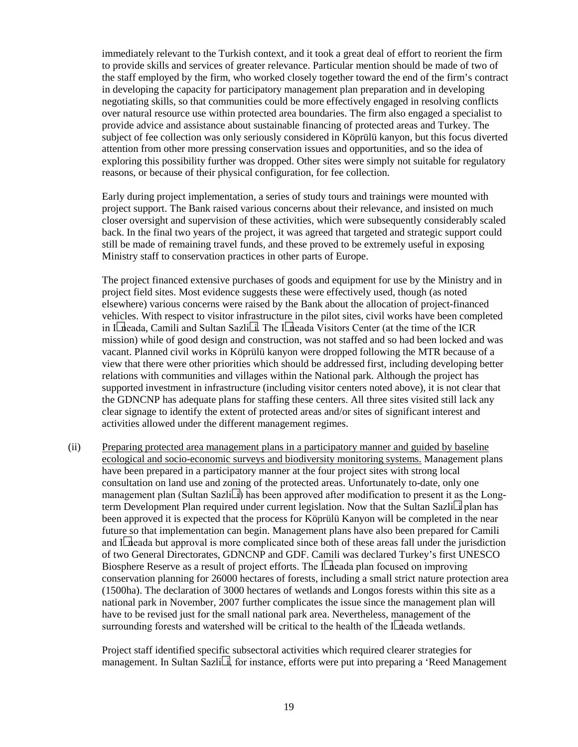immediately relevant to the Turkish context, and it took a great deal of effort to reorient the firm to provide skills and services of greater relevance. Particular mention should be made of two of the staff employed by the firm, who worked closely together toward the end of the firm's contract in developing the capacity for participatory management plan preparation and in developing negotiating skills, so that communities could be more effectively engaged in resolving conflicts over natural resource use within protected area boundaries. The firm also engaged a specialist to provide advice and assistance about sustainable financing of protected areas and Turkey. The subject of fee collection was only seriously considered in Köprülü kanyon, but this focus diverted attention from other more pressing conservation issues and opportunities, and so the idea of exploring this possibility further was dropped. Other sites were simply not suitable for regulatory reasons, or because of their physical configuration, for fee collection.

Early during project implementation, a series of study tours and trainings were mounted with project support. The Bank raised various concerns about their relevance, and insisted on much closer oversight and supervision of these activities, which were subsequently considerably scaled back. In the final two years of the project, it was agreed that targeted and strategic support could still be made of remaining travel funds, and these proved to be extremely useful in exposing Ministry staff to conservation practices in other parts of Europe.

The project financed extensive purchases of goods and equipment for use by the Ministry and in project field sites. Most evidence suggests these were effectively used, though (as noted elsewhere) various concerns were raised by the Bank about the allocation of project-financed vehicles. With respect to visitor infrastructure in the pilot sites, civil works have been completed in I neada, Camili and Sultan Sazli i. The I neada Visitors Center (at the time of the ICR mission) while of good design and construction, was not staffed and so had been locked and was vacant. Planned civil works in Köprülü kanyon were dropped following the MTR because of a view that there were other priorities which should be addressed first, including developing better relations with communities and villages within the National park. Although the project has supported investment in infrastructure (including visitor centers noted above), it is not clear that the GDNCNP has adequate plans for staffing these centers. All three sites visited still lack any clear signage to identify the extent of protected areas and/or sites of significant interest and activities allowed under the different management regimes.

(ii) Preparing protected area management plans in a participatory manner and guided by baseline ecological and socio-economic surveys and biodiversity monitoring systems. Management plans have been prepared in a participatory manner at the four project sites with strong local consultation on land use and zoning of the protected areas. Unfortunately to-date, only one management plan (Sultan Sazli i) has been approved after modification to present it as the Longterm Development Plan required under current legislation. Now that the Sultan Sazli i plan has been approved it is expected that the process for Köprülü Kanyon will be completed in the near future so that implementation can begin. Management plans have also been prepared for Camili and I neada but approval is more complicated since both of these areas fall under the jurisdiction of two General Directorates, GDNCNP and GDF. Camili was declared Turkey's first UNESCO Biosphere Reserve as a result of project efforts. The I neada plan focused on improving conservation planning for 26000 hectares of forests, including a small strict nature protection area (1500ha). The declaration of 3000 hectares of wetlands and Longos forests within this site as a national park in November, 2007 further complicates the issue since the management plan will have to be revised just for the small national park area. Nevertheless, management of the surrounding forests and watershed will be critical to the health of the I neada wetlands.

Project staff identified specific subsectoral activities which required clearer strategies for management. In Sultan Sazli i, for instance, efforts were put into preparing a 'Reed Management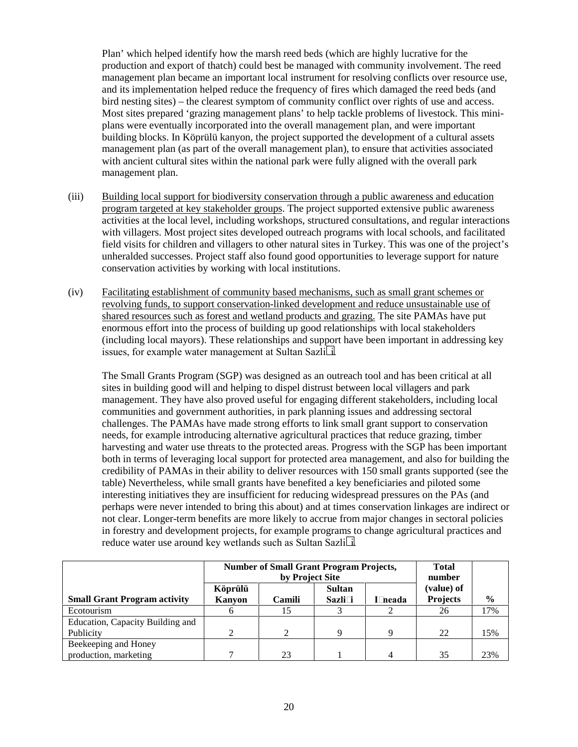Plan' which helped identify how the marsh reed beds (which are highly lucrative for the production and export of thatch) could best be managed with community involvement. The reed management plan became an important local instrument for resolving conflicts over resource use, and its implementation helped reduce the frequency of fires which damaged the reed beds (and bird nesting sites) – the clearest symptom of community conflict over rights of use and access. Most sites prepared 'grazing management plans' to help tackle problems of livestock. This miniplans were eventually incorporated into the overall management plan, and were important building blocks. In Köprülü kanyon, the project supported the development of a cultural assets management plan (as part of the overall management plan), to ensure that activities associated with ancient cultural sites within the national park were fully aligned with the overall park management plan.

- (iii) Building local support for biodiversity conservation through a public awareness and education program targeted at key stakeholder groups. The project supported extensive public awareness activities at the local level, including workshops, structured consultations, and regular interactions with villagers. Most project sites developed outreach programs with local schools, and facilitated field visits for children and villagers to other natural sites in Turkey. This was one of the project's unheralded successes. Project staff also found good opportunities to leverage support for nature conservation activities by working with local institutions.
- (iv) Facilitating establishment of community based mechanisms, such as small grant schemes or revolving funds, to support conservation-linked development and reduce unsustainable use of shared resources such as forest and wetland products and grazing. The site PAMAs have put enormous effort into the process of building up good relationships with local stakeholders (including local mayors). These relationships and support have been important in addressing key issues, for example water management at Sultan Sazli i.

The Small Grants Program (SGP) was designed as an outreach tool and has been critical at all sites in building good will and helping to dispel distrust between local villagers and park management. They have also proved useful for engaging different stakeholders, including local communities and government authorities, in park planning issues and addressing sectoral challenges. The PAMAs have made strong efforts to link small grant support to conservation needs, for example introducing alternative agricultural practices that reduce grazing, timber harvesting and water use threats to the protected areas. Progress with the SGP has been important both in terms of leveraging local support for protected area management, and also for building the credibility of PAMAs in their ability to deliver resources with 150 small grants supported (see the table) Nevertheless, while small grants have benefited a key beneficiaries and piloted some interesting initiatives they are insufficient for reducing widespread pressures on the PAs (and perhaps were never intended to bring this about) and at times conservation linkages are indirect or not clear. Longer-term benefits are more likely to accrue from major changes in sectoral policies in forestry and development projects, for example programs to change agricultural practices and reduce water use around key wetlands such as Sultan Sazli i.

|                                     | <b>Number of Small Grant Program Projects,</b><br>by Project Site |               |   |                 | <b>Total</b><br>number |     |
|-------------------------------------|-------------------------------------------------------------------|---------------|---|-----------------|------------------------|-----|
|                                     | Köprülü                                                           | <b>Sultan</b> |   |                 | (value) of             |     |
| <b>Small Grant Program activity</b> | Sazli i<br><b>Kanyon</b><br>Camili<br>neada                       |               |   | <b>Projects</b> | $\frac{0}{0}$          |     |
| Ecotourism                          | <sub>(</sub>                                                      | 15            |   |                 | 26                     | 17% |
| Education, Capacity Building and    |                                                                   |               |   |                 |                        |     |
| Publicity                           | 2                                                                 |               | Q | 9               | 22                     | 15% |
| Beekeeping and Honey                |                                                                   |               |   |                 |                        |     |
| production, marketing               |                                                                   | 23            |   | 4               | 35                     | 23% |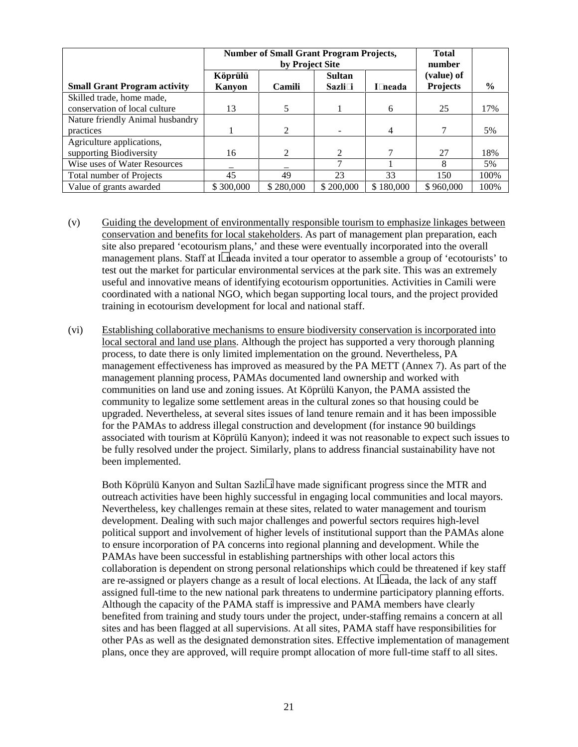|                                     | <b>Number of Small Grant Program Projects,</b><br>by Project Site |                |                          |           | <b>Total</b><br>number        |               |
|-------------------------------------|-------------------------------------------------------------------|----------------|--------------------------|-----------|-------------------------------|---------------|
| <b>Small Grant Program activity</b> | Köprülü<br>Kanyon                                                 | <b>Camili</b>  | <b>Sultan</b><br>Sazli i | neada -   | (value) of<br><b>Projects</b> | $\frac{6}{9}$ |
| Skilled trade, home made,           |                                                                   |                |                          |           |                               |               |
| conservation of local culture       | 13                                                                | 5              |                          | 6         | 25                            | 17%           |
| Nature friendly Animal husbandry    |                                                                   |                |                          |           |                               |               |
| practices                           |                                                                   | 2              |                          | 4         | 7                             | 5%            |
| Agriculture applications,           |                                                                   |                |                          |           |                               |               |
| supporting Biodiversity             | 16                                                                | $\mathfrak{D}$ | 2                        |           | 27                            | 18%           |
| Wise uses of Water Resources        |                                                                   |                | 7                        |           | 8                             | 5%            |
| Total number of Projects            | 45                                                                | 49             | 23                       | 33        | 150                           | 100%          |
| Value of grants awarded             | \$300,000                                                         | \$280,000      | \$200,000                | \$180,000 | \$960,000                     | 100%          |

- (v) Guiding the development of environmentally responsible tourism to emphasize linkages between conservation and benefits for local stakeholders. As part of management plan preparation, each site also prepared 'ecotourism plans,' and these were eventually incorporated into the overall management plans. Staff at I neada invited a tour operator to assemble a group of 'ecotourists' to test out the market for particular environmental services at the park site. This was an extremely useful and innovative means of identifying ecotourism opportunities. Activities in Camili were coordinated with a national NGO, which began supporting local tours, and the project provided training in ecotourism development for local and national staff.
- (vi) Establishing collaborative mechanisms to ensure biodiversity conservation is incorporated into local sectoral and land use plans. Although the project has supported a very thorough planning process, to date there is only limited implementation on the ground. Nevertheless, PA management effectiveness has improved as measured by the PA METT (Annex 7). As part of the management planning process, PAMAs documented land ownership and worked with communities on land use and zoning issues. At Köprülü Kanyon, the PAMA assisted the community to legalize some settlement areas in the cultural zones so that housing could be upgraded. Nevertheless, at several sites issues of land tenure remain and it has been impossible for the PAMAs to address illegal construction and development (for instance 90 buildings associated with tourism at Köprülü Kanyon); indeed it was not reasonable to expect such issues to be fully resolved under the project. Similarly, plans to address financial sustainability have not been implemented.

Both Köprülü Kanyon and Sultan Sazli i have made significant progress since the MTR and outreach activities have been highly successful in engaging local communities and local mayors. Nevertheless, key challenges remain at these sites, related to water management and tourism development. Dealing with such major challenges and powerful sectors requires high-level political support and involvement of higher levels of institutional support than the PAMAs alone to ensure incorporation of PA concerns into regional planning and development. While the PAMAs have been successful in establishing partnerships with other local actors this collaboration is dependent on strong personal relationships which could be threatened if key staff are re-assigned or players change as a result of local elections. At I neada, the lack of any staff assigned full-time to the new national park threatens to undermine participatory planning efforts. Although the capacity of the PAMA staff is impressive and PAMA members have clearly benefited from training and study tours under the project, under-staffing remains a concern at all sites and has been flagged at all supervisions. At all sites, PAMA staff have responsibilities for other PAs as well as the designated demonstration sites. Effective implementation of management plans, once they are approved, will require prompt allocation of more full-time staff to all sites.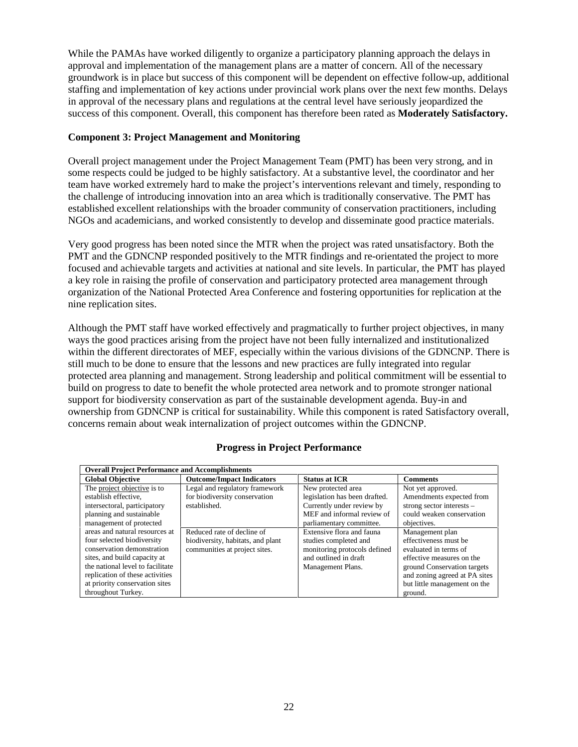While the PAMAs have worked diligently to organize a participatory planning approach the delays in approval and implementation of the management plans are a matter of concern. All of the necessary groundwork is in place but success of this component will be dependent on effective follow-up, additional staffing and implementation of key actions under provincial work plans over the next few months. Delays in approval of the necessary plans and regulations at the central level have seriously jeopardized the success of this component. Overall, this component has therefore been rated as **Moderately Satisfactory.** 

## **Component 3: Project Management and Monitoring**

Overall project management under the Project Management Team (PMT) has been very strong, and in some respects could be judged to be highly satisfactory. At a substantive level, the coordinator and her team have worked extremely hard to make the project's interventions relevant and timely, responding to the challenge of introducing innovation into an area which is traditionally conservative. The PMT has established excellent relationships with the broader community of conservation practitioners, including NGOs and academicians, and worked consistently to develop and disseminate good practice materials.

Very good progress has been noted since the MTR when the project was rated unsatisfactory. Both the PMT and the GDNCNP responded positively to the MTR findings and re-orientated the project to more focused and achievable targets and activities at national and site levels. In particular, the PMT has played a key role in raising the profile of conservation and participatory protected area management through organization of the National Protected Area Conference and fostering opportunities for replication at the nine replication sites.

Although the PMT staff have worked effectively and pragmatically to further project objectives, in many ways the good practices arising from the project have not been fully internalized and institutionalized within the different directorates of MEF, especially within the various divisions of the GDNCNP. There is still much to be done to ensure that the lessons and new practices are fully integrated into regular protected area planning and management. Strong leadership and political commitment will be essential to build on progress to date to benefit the whole protected area network and to promote stronger national support for biodiversity conservation as part of the sustainable development agenda. Buy-in and ownership from GDNCNP is critical for sustainability. While this component is rated Satisfactory overall, concerns remain about weak internalization of project outcomes within the GDNCNP.

| <b>Overall Project Performance and Accomplishments</b> |                                   |                               |                               |  |  |  |
|--------------------------------------------------------|-----------------------------------|-------------------------------|-------------------------------|--|--|--|
| <b>Global Objective</b>                                | <b>Outcome/Impact Indicators</b>  | <b>Status at ICR</b>          | <b>Comments</b>               |  |  |  |
| The project objective is to                            | Legal and regulatory framework    | New protected area            | Not yet approved.             |  |  |  |
| establish effective.                                   | for biodiversity conservation     | legislation has been drafted. | Amendments expected from      |  |  |  |
| intersectoral, participatory                           | established.                      | Currently under review by     | strong sector interests -     |  |  |  |
| planning and sustainable                               |                                   | MEF and informal review of    | could weaken conservation     |  |  |  |
| management of protected                                |                                   | parliamentary committee.      | objectives.                   |  |  |  |
| areas and natural resources at                         | Reduced rate of decline of        | Extensive flora and fauna     | Management plan               |  |  |  |
| four selected biodiversity                             | biodiversity, habitats, and plant | studies completed and         | effectiveness must be         |  |  |  |
| conservation demonstration                             | communities at project sites.     | monitoring protocols defined  | evaluated in terms of         |  |  |  |
| sites, and build capacity at                           |                                   | and outlined in draft         | effective measures on the     |  |  |  |
| the national level to facilitate                       |                                   | Management Plans.             | ground Conservation targets   |  |  |  |
| replication of these activities                        |                                   |                               | and zoning agreed at PA sites |  |  |  |
| at priority conservation sites                         |                                   |                               | but little management on the  |  |  |  |
| throughout Turkey.                                     |                                   |                               | ground.                       |  |  |  |

## **Progress in Project Performance**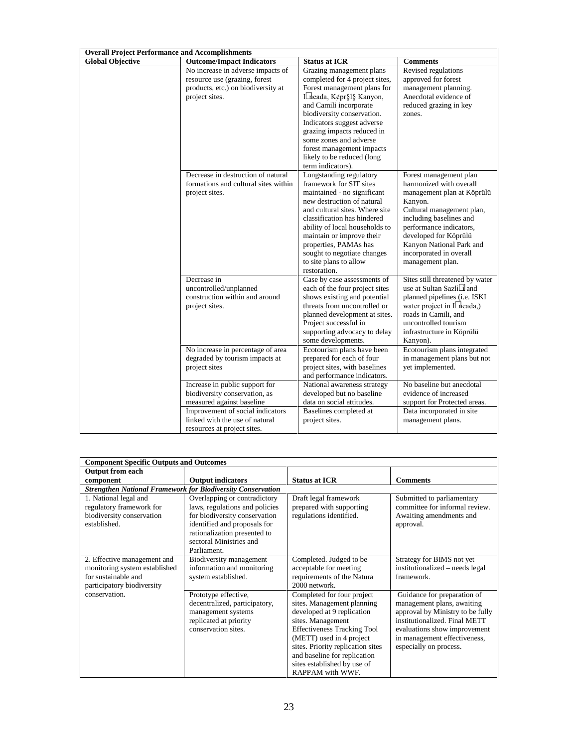| <b>Overall Project Performance and Accomplishments</b> |                                                                                                                            |                                                                                                                                                                                                                                                                                                                                                     |                                                                                                                                                                                                                                                                                   |  |  |
|--------------------------------------------------------|----------------------------------------------------------------------------------------------------------------------------|-----------------------------------------------------------------------------------------------------------------------------------------------------------------------------------------------------------------------------------------------------------------------------------------------------------------------------------------------------|-----------------------------------------------------------------------------------------------------------------------------------------------------------------------------------------------------------------------------------------------------------------------------------|--|--|
| <b>Global Objective</b>                                | <b>Outcome/Impact Indicators</b>                                                                                           | <b>Status at ICR</b>                                                                                                                                                                                                                                                                                                                                | <b>Comments</b>                                                                                                                                                                                                                                                                   |  |  |
|                                                        | No increase in adverse impacts of<br>resource use (grazing, forest<br>products, etc.) on biodiversity at<br>project sites. | Grazing management plans<br>completed for 4 project sites,<br>Forest management plans for<br>I neada, K¢pr§l§ Kanyon,<br>and Camili incorporate<br>biodiversity conservation.<br>Indicators suggest adverse<br>grazing impacts reduced in<br>some zones and adverse<br>forest management impacts<br>likely to be reduced (long<br>term indicators). | Revised regulations<br>approved for forest<br>management planning.<br>Anecdotal evidence of<br>reduced grazing in key<br>zones.                                                                                                                                                   |  |  |
|                                                        | Decrease in destruction of natural<br>formations and cultural sites within<br>project sites.                               | Longstanding regulatory<br>framework for SIT sites<br>maintained - no significant<br>new destruction of natural<br>and cultural sites. Where site<br>classification has hindered<br>ability of local households to<br>maintain or improve their<br>properties, PAMAs has<br>sought to negotiate changes<br>to site plans to allow<br>restoration.   | Forest management plan<br>harmonized with overall<br>management plan at Köprülü<br>Kanyon.<br>Cultural management plan,<br>including baselines and<br>performance indicators,<br>developed for Köprülü<br>Kanyon National Park and<br>incorporated in overall<br>management plan. |  |  |
|                                                        | Decrease in<br>uncontrolled/unplanned<br>construction within and around<br>project sites.                                  | Case by case assessments of<br>each of the four project sites<br>shows existing and potential<br>threats from uncontrolled or<br>planned development at sites.<br>Project successful in<br>supporting advocacy to delay<br>some developments.                                                                                                       | Sites still threatened by water<br>use at Sultan Sazli i and<br>planned pipelines (i.e. ISKI<br>water project in I neada,)<br>roads in Camili, and<br>uncontrolled tourism<br>infrastructure in Köprülü<br>Kanyon).                                                               |  |  |
|                                                        | No increase in percentage of area<br>degraded by tourism impacts at<br>project sites                                       | Ecotourism plans have been<br>prepared for each of four<br>project sites, with baselines<br>and performance indicators.                                                                                                                                                                                                                             | Ecotourism plans integrated<br>in management plans but not<br>yet implemented.                                                                                                                                                                                                    |  |  |
|                                                        | Increase in public support for<br>biodiversity conservation, as<br>measured against baseline                               | National awareness strategy<br>developed but no baseline<br>data on social attitudes.                                                                                                                                                                                                                                                               | No baseline but anecdotal<br>evidence of increased<br>support for Protected areas.                                                                                                                                                                                                |  |  |
|                                                        | Improvement of social indicators<br>linked with the use of natural<br>resources at project sites.                          | Baselines completed at<br>project sites.                                                                                                                                                                                                                                                                                                            | Data incorporated in site<br>management plans.                                                                                                                                                                                                                                    |  |  |

| <b>Component Specific Outputs and Outcomes</b>                                                                    |                                                                                                                                                                                                           |                                                                                                                                                                                                                                                                                                       |                                                                                                                                                                                                                          |  |
|-------------------------------------------------------------------------------------------------------------------|-----------------------------------------------------------------------------------------------------------------------------------------------------------------------------------------------------------|-------------------------------------------------------------------------------------------------------------------------------------------------------------------------------------------------------------------------------------------------------------------------------------------------------|--------------------------------------------------------------------------------------------------------------------------------------------------------------------------------------------------------------------------|--|
| Output from each                                                                                                  |                                                                                                                                                                                                           |                                                                                                                                                                                                                                                                                                       |                                                                                                                                                                                                                          |  |
| component                                                                                                         | <b>Output indicators</b>                                                                                                                                                                                  | <b>Status at ICR</b>                                                                                                                                                                                                                                                                                  | <b>Comments</b>                                                                                                                                                                                                          |  |
| <b>Strengthen National Framework for Biodiversity Conservation</b>                                                |                                                                                                                                                                                                           |                                                                                                                                                                                                                                                                                                       |                                                                                                                                                                                                                          |  |
| 1. National legal and<br>regulatory framework for<br>biodiversity conservation<br>established.                    | Overlapping or contradictory<br>laws, regulations and policies<br>for biodiversity conservation<br>identified and proposals for<br>rationalization presented to<br>sectoral Ministries and<br>Parliament. | Draft legal framework<br>prepared with supporting<br>regulations identified.                                                                                                                                                                                                                          | Submitted to parliamentary<br>committee for informal review.<br>Awaiting amendments and<br>approval.                                                                                                                     |  |
| 2. Effective management and<br>monitoring system established<br>for sustainable and<br>participatory biodiversity | Biodiversity management<br>information and monitoring<br>system established.                                                                                                                              | Completed. Judged to be<br>acceptable for meeting<br>requirements of the Natura<br>2000 network.                                                                                                                                                                                                      | Strategy for BIMS not yet<br>institutionalized – needs legal<br>framework.                                                                                                                                               |  |
| conservation.                                                                                                     | Prototype effective,<br>decentralized, participatory,<br>management systems<br>replicated at priority<br>conservation sites.                                                                              | Completed for four project<br>sites. Management planning<br>developed at 9 replication<br>sites. Management<br><b>Effectiveness Tracking Tool</b><br>(METT) used in 4 project<br>sites. Priority replication sites<br>and baseline for replication<br>sites established by use of<br>RAPPAM with WWF. | Guidance for preparation of<br>management plans, awaiting<br>approval by Ministry to be fully<br>institutionalized. Final METT<br>evaluations show improvement<br>in management effectiveness,<br>especially on process. |  |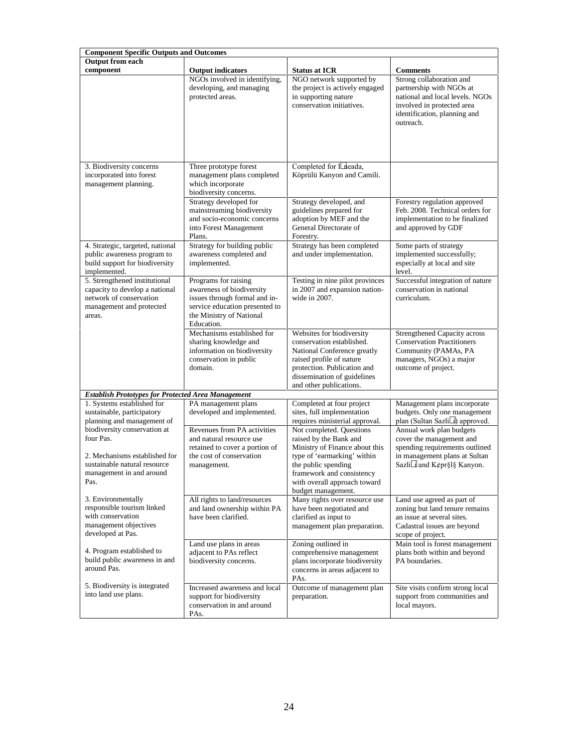| <b>Component Specific Outputs and Outcomes</b>                                                                                                 |                                                                                                                                                                |                                                                                                                                                                                                            |                                                                                                                                                                    |  |  |  |
|------------------------------------------------------------------------------------------------------------------------------------------------|----------------------------------------------------------------------------------------------------------------------------------------------------------------|------------------------------------------------------------------------------------------------------------------------------------------------------------------------------------------------------------|--------------------------------------------------------------------------------------------------------------------------------------------------------------------|--|--|--|
| <b>Output from each</b>                                                                                                                        |                                                                                                                                                                |                                                                                                                                                                                                            |                                                                                                                                                                    |  |  |  |
| component                                                                                                                                      | <b>Output indicators</b>                                                                                                                                       | <b>Status at ICR</b>                                                                                                                                                                                       | <b>Comments</b>                                                                                                                                                    |  |  |  |
|                                                                                                                                                | NGOs involved in identifying,<br>developing, and managing<br>protected areas.                                                                                  | NGO network supported by<br>the project is actively engaged<br>in supporting nature<br>conservation initiatives.                                                                                           | Strong collaboration and<br>partnership with NGOs at<br>national and local levels. NGOs<br>involved in protected area<br>identification, planning and<br>outreach. |  |  |  |
| 3. Biodiversity concerns                                                                                                                       | Three prototype forest                                                                                                                                         | Completed for I neada,                                                                                                                                                                                     |                                                                                                                                                                    |  |  |  |
| incorporated into forest<br>management planning.                                                                                               | management plans completed<br>which incorporate<br>biodiversity concerns.                                                                                      | Köprülü Kanyon and Camili.                                                                                                                                                                                 |                                                                                                                                                                    |  |  |  |
|                                                                                                                                                | Strategy developed for<br>mainstreaming biodiversity<br>and socio-economic concerns<br>into Forest Management<br>Plans.                                        | Strategy developed, and<br>guidelines prepared for<br>adoption by MEF and the<br>General Directorate of<br>Forestry.                                                                                       | Forestry regulation approved<br>Feb. 2008. Technical orders for<br>implementation to be finalized<br>and approved by GDF                                           |  |  |  |
| 4. Strategic, targeted, national<br>public awareness program to<br>build support for biodiversity<br>implemented.                              | Strategy for building public<br>awareness completed and<br>implemented.                                                                                        | Strategy has been completed<br>and under implementation.                                                                                                                                                   | Some parts of strategy<br>implemented successfully;<br>especially at local and site<br>level.                                                                      |  |  |  |
| 5. Strengthened institutional<br>capacity to develop a national<br>network of conservation<br>management and protected<br>areas.               | Programs for raising<br>awareness of biodiversity<br>issues through formal and in-<br>service education presented to<br>the Ministry of National<br>Education. | Testing in nine pilot provinces<br>in 2007 and expansion nation-<br>wide in 2007.                                                                                                                          | Successful integration of nature<br>conservation in national<br>curriculum.                                                                                        |  |  |  |
|                                                                                                                                                | Mechanisms established for<br>sharing knowledge and<br>information on biodiversity<br>conservation in public<br>domain.                                        | Websites for biodiversity<br>conservation established.<br>National Conference greatly<br>raised profile of nature<br>protection. Publication and<br>dissemination of guidelines<br>and other publications. | <b>Strengthened Capacity across</b><br><b>Conservation Practitioners</b><br>Community (PAMAs, PA<br>managers, NGOs) a major<br>outcome of project.                 |  |  |  |
| <b>Establish Prototypes for Protected Area Management</b>                                                                                      |                                                                                                                                                                |                                                                                                                                                                                                            |                                                                                                                                                                    |  |  |  |
| 1. Systems established for<br>sustainable, participatory<br>planning and management of                                                         | PA management plans<br>developed and implemented.                                                                                                              | Completed at four project<br>sites, full implementation<br>requires ministerial approval.                                                                                                                  | Management plans incorporate<br>budgets. Only one management<br>plan (Sultan Sazli i) approved.                                                                    |  |  |  |
| biodiversity conservation at<br>four Pas.<br>2. Mechanisms established for<br>sustainable natural resource<br>management in and around<br>Pas. | Revenues from PA activities<br>and natural resource use<br>retained to cover a portion of<br>the cost of conservation<br>management.                           | Not completed. Questions<br>raised by the Bank and<br>Ministry of Finance about this<br>type of 'earmarking' within<br>the public spending<br>framework and consistency<br>with overall approach toward    | Annual work plan budgets<br>cover the management and<br>spending requirements outlined<br>in management plans at Sultan<br>Sazli i and K¢pr§l§ Kanyon.             |  |  |  |
|                                                                                                                                                |                                                                                                                                                                | budget management.                                                                                                                                                                                         |                                                                                                                                                                    |  |  |  |
| 3. Environmentally<br>responsible tourism linked<br>with conservation<br>management objectives<br>developed at Pas.                            | All rights to land/resources<br>and land ownership within PA<br>have been clarified.                                                                           | Many rights over resource use<br>have been negotiated and<br>clarified as input to<br>management plan preparation.                                                                                         | Land use agreed as part of<br>zoning but land tenure remains<br>an issue at several sites.<br>Cadastral issues are beyond<br>scope of project.                     |  |  |  |
| 4. Program established to<br>build public awareness in and<br>around Pas.                                                                      | Land use plans in areas<br>adjacent to PAs reflect<br>biodiversity concerns.                                                                                   | Zoning outlined in<br>comprehensive management<br>plans incorporate biodiversity<br>concerns in areas adjacent to<br>PAs.                                                                                  | Main tool is forest management<br>plans both within and beyond<br>PA boundaries.                                                                                   |  |  |  |
| 5. Biodiversity is integrated<br>into land use plans.                                                                                          | Increased awareness and local<br>support for biodiversity<br>conservation in and around<br>PAs.                                                                | Outcome of management plan<br>preparation.                                                                                                                                                                 | Site visits confirm strong local<br>support from communities and<br>local mayors.                                                                                  |  |  |  |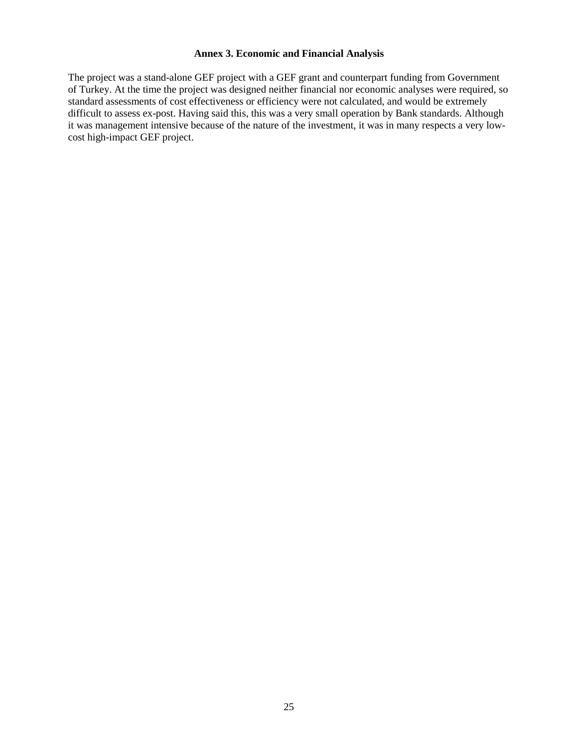## **Annex 3. Economic and Financial Analysis**

The project was a stand-alone GEF project with a GEF grant and counterpart funding from Government of Turkey. At the time the project was designed neither financial nor economic analyses were required, so standard assessments of cost effectiveness or efficiency were not calculated, and would be extremely difficult to assess ex-post. Having said this, this was a very small operation by Bank standards. Although it was management intensive because of the nature of the investment, it was in many respects a very lowcost high-impact GEF project.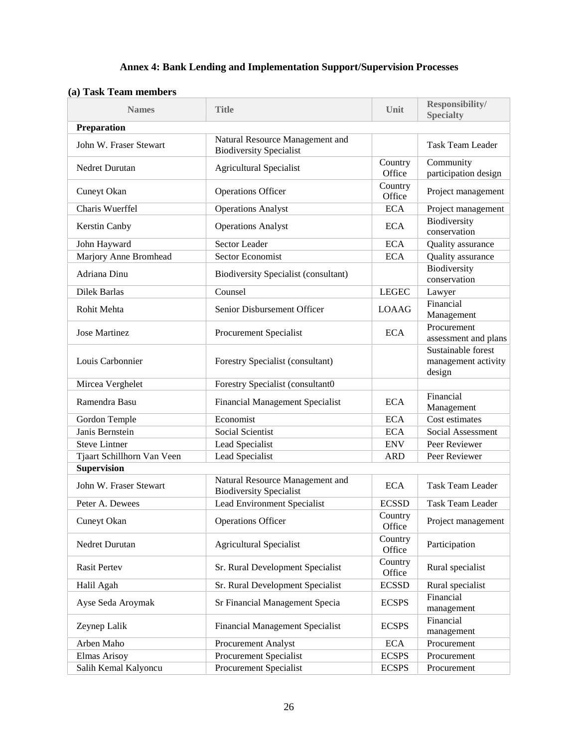## **Annex 4: Bank Lending and Implementation Support/Supervision Processes**

## **(a) Task Team members**

| <b>Names</b>               | <b>Title</b>                                                      | Unit              | Responsibility/<br><b>Specialty</b>                 |  |  |
|----------------------------|-------------------------------------------------------------------|-------------------|-----------------------------------------------------|--|--|
| Preparation                |                                                                   |                   |                                                     |  |  |
| John W. Fraser Stewart     | Natural Resource Management and<br><b>Biodiversity Specialist</b> |                   | <b>Task Team Leader</b>                             |  |  |
| <b>Nedret Durutan</b>      | <b>Agricultural Specialist</b>                                    | Country<br>Office | Community<br>participation design                   |  |  |
| Cuneyt Okan                | <b>Operations Officer</b>                                         | Country<br>Office | Project management                                  |  |  |
| Charis Wuerffel            | <b>Operations Analyst</b>                                         | <b>ECA</b>        | Project management                                  |  |  |
| Kerstin Canby              | <b>Operations Analyst</b>                                         | <b>ECA</b>        | Biodiversity<br>conservation                        |  |  |
| John Hayward               | <b>Sector Leader</b>                                              | <b>ECA</b>        | Quality assurance                                   |  |  |
| Marjory Anne Bromhead      | <b>Sector Economist</b>                                           | <b>ECA</b>        | Quality assurance                                   |  |  |
| Adriana Dinu               | <b>Biodiversity Specialist (consultant)</b>                       |                   | Biodiversity<br>conservation                        |  |  |
| Dilek Barlas               | Counsel                                                           | <b>LEGEC</b>      | Lawyer                                              |  |  |
| Rohit Mehta                | Senior Disbursement Officer                                       | <b>LOAAG</b>      | Financial<br>Management                             |  |  |
| <b>Jose Martinez</b>       | Procurement Specialist                                            | <b>ECA</b>        | Procurement<br>assessment and plans                 |  |  |
| Louis Carbonnier           | Forestry Specialist (consultant)                                  |                   | Sustainable forest<br>management activity<br>design |  |  |
| Mircea Verghelet           | Forestry Specialist (consultant0                                  |                   |                                                     |  |  |
| Ramendra Basu              | <b>Financial Management Specialist</b>                            | <b>ECA</b>        | Financial<br>Management                             |  |  |
| Gordon Temple              | Economist                                                         | <b>ECA</b>        | Cost estimates                                      |  |  |
| Janis Bernstein            | Social Scientist                                                  | <b>ECA</b>        | Social Assessment                                   |  |  |
| <b>Steve Lintner</b>       | Lead Specialist                                                   | <b>ENV</b>        | Peer Reviewer                                       |  |  |
| Tjaart Schillhorn Van Veen | Lead Specialist                                                   |                   | Peer Reviewer                                       |  |  |
| <b>Supervision</b>         |                                                                   |                   |                                                     |  |  |
| John W. Fraser Stewart     | Natural Resource Management and<br><b>Biodiversity Specialist</b> | <b>ECA</b>        | <b>Task Team Leader</b>                             |  |  |
| Peter A. Dewees            | Lead Environment Specialist                                       | <b>ECSSD</b>      | <b>Task Team Leader</b>                             |  |  |
| Cuneyt Okan                | <b>Operations Officer</b>                                         | Country<br>Office | Project management                                  |  |  |
| Nedret Durutan             | <b>Agricultural Specialist</b>                                    | Country<br>Office | Participation                                       |  |  |
| <b>Rasit Pertev</b>        | Sr. Rural Development Specialist                                  | Country<br>Office | Rural specialist                                    |  |  |
| Halil Agah                 | Sr. Rural Development Specialist                                  | <b>ECSSD</b>      | Rural specialist                                    |  |  |
| Ayse Seda Aroymak          | Sr Financial Management Specia                                    | <b>ECSPS</b>      | Financial<br>management                             |  |  |
| Zeynep Lalik               | <b>Financial Management Specialist</b>                            | <b>ECSPS</b>      | Financial<br>management                             |  |  |
| Arben Maho                 | <b>Procurement Analyst</b>                                        | <b>ECA</b>        | Procurement                                         |  |  |
| Elmas Arisoy               | <b>Procurement Specialist</b>                                     |                   | Procurement                                         |  |  |
| Salih Kemal Kalyoncu       | Procurement Specialist                                            | <b>ECSPS</b>      | Procurement                                         |  |  |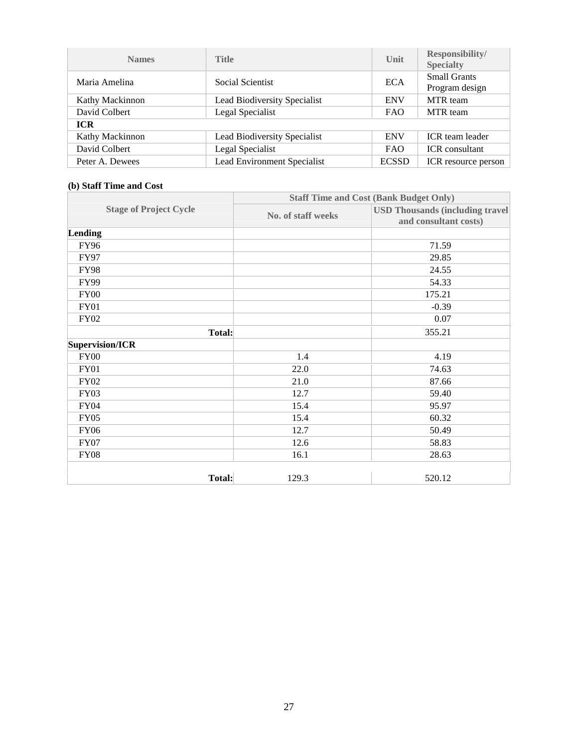| <b>Names</b>    | <b>Title</b>                 | Unit         | Responsibility/<br><b>Specialty</b>   |
|-----------------|------------------------------|--------------|---------------------------------------|
| Maria Amelina   | Social Scientist             | <b>ECA</b>   | <b>Small Grants</b><br>Program design |
| Kathy Mackinnon | Lead Biodiversity Specialist | <b>ENV</b>   | MTR team                              |
| David Colbert   | Legal Specialist             | <b>FAO</b>   | MTR team                              |
| <b>ICR</b>      |                              |              |                                       |
| Kathy Mackinnon | Lead Biodiversity Specialist | <b>ENV</b>   | <b>ICR</b> team leader                |
| David Colbert   | Legal Specialist             | <b>FAO</b>   | <b>ICR</b> consultant                 |
| Peter A. Dewees | Lead Environment Specialist  | <b>ECSSD</b> | ICR resource person                   |

## **(b) Staff Time and Cost**

|                               | <b>Staff Time and Cost (Bank Budget Only)</b> |                                                                  |  |  |
|-------------------------------|-----------------------------------------------|------------------------------------------------------------------|--|--|
| <b>Stage of Project Cycle</b> | No. of staff weeks                            | <b>USD Thousands (including travel)</b><br>and consultant costs) |  |  |
| Lending                       |                                               |                                                                  |  |  |
| FY96                          |                                               | 71.59                                                            |  |  |
| <b>FY97</b>                   |                                               | 29.85                                                            |  |  |
| <b>FY98</b>                   |                                               | 24.55                                                            |  |  |
| <b>FY99</b>                   |                                               | 54.33                                                            |  |  |
| <b>FY00</b>                   |                                               | 175.21                                                           |  |  |
| <b>FY01</b>                   |                                               | $-0.39$                                                          |  |  |
| <b>FY02</b>                   |                                               | 0.07                                                             |  |  |
| <b>Total:</b>                 |                                               | 355.21                                                           |  |  |
| <b>Supervision/ICR</b>        |                                               |                                                                  |  |  |
| <b>FY00</b>                   | 1.4                                           | 4.19                                                             |  |  |
| <b>FY01</b>                   | 22.0                                          | 74.63                                                            |  |  |
| <b>FY02</b>                   | 21.0                                          | 87.66                                                            |  |  |
| <b>FY03</b>                   | 12.7                                          | 59.40                                                            |  |  |
| <b>FY04</b>                   | 15.4                                          | 95.97                                                            |  |  |
| <b>FY05</b>                   | 15.4                                          | 60.32                                                            |  |  |
| <b>FY06</b>                   | 12.7                                          | 50.49                                                            |  |  |
| <b>FY07</b>                   | 12.6                                          | 58.83                                                            |  |  |
| <b>FY08</b>                   | 16.1                                          | 28.63                                                            |  |  |
|                               |                                               |                                                                  |  |  |
| <b>Total:</b>                 | 129.3                                         | 520.12                                                           |  |  |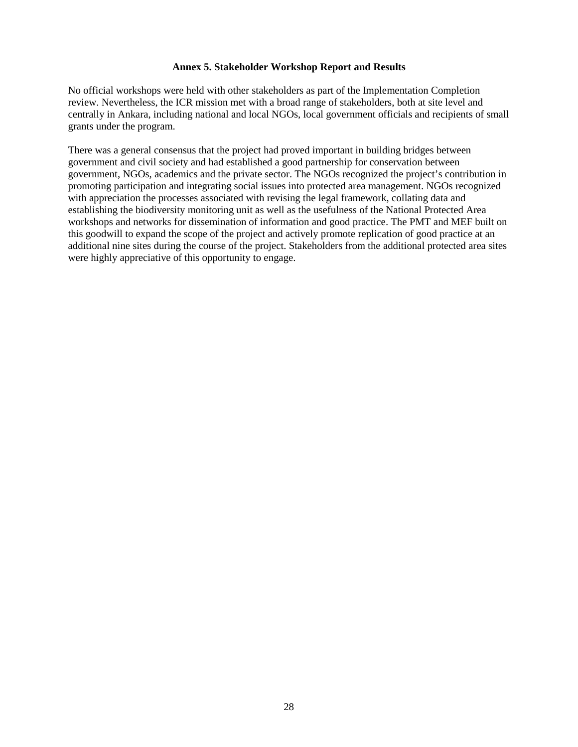## **Annex 5. Stakeholder Workshop Report and Results**

No official workshops were held with other stakeholders as part of the Implementation Completion review. Nevertheless, the ICR mission met with a broad range of stakeholders, both at site level and centrally in Ankara, including national and local NGOs, local government officials and recipients of small grants under the program.

There was a general consensus that the project had proved important in building bridges between government and civil society and had established a good partnership for conservation between government, NGOs, academics and the private sector. The NGOs recognized the project's contribution in promoting participation and integrating social issues into protected area management. NGOs recognized with appreciation the processes associated with revising the legal framework, collating data and establishing the biodiversity monitoring unit as well as the usefulness of the National Protected Area workshops and networks for dissemination of information and good practice. The PMT and MEF built on this goodwill to expand the scope of the project and actively promote replication of good practice at an additional nine sites during the course of the project. Stakeholders from the additional protected area sites were highly appreciative of this opportunity to engage.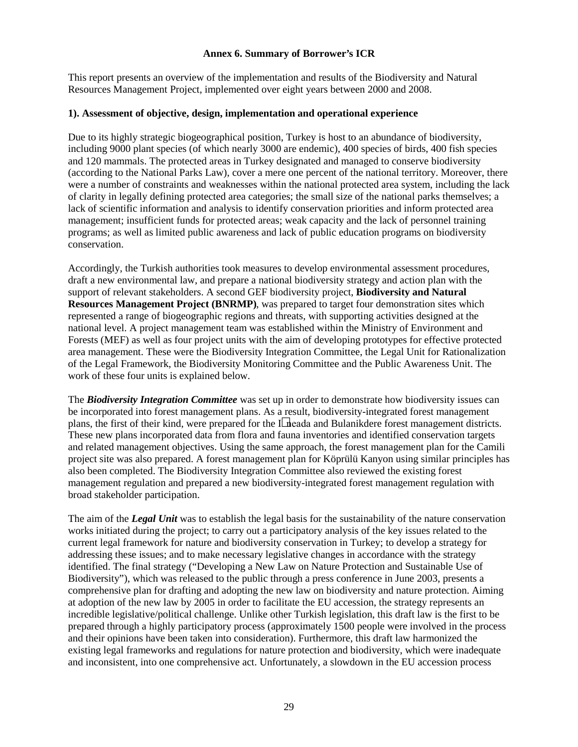#### **Annex 6. Summary of Borrower's ICR**

This report presents an overview of the implementation and results of the Biodiversity and Natural Resources Management Project, implemented over eight years between 2000 and 2008.

#### **1). Assessment of objective, design, implementation and operational experience**

Due to its highly strategic biogeographical position, Turkey is host to an abundance of biodiversity, including 9000 plant species (of which nearly 3000 are endemic), 400 species of birds, 400 fish species and 120 mammals. The protected areas in Turkey designated and managed to conserve biodiversity (according to the National Parks Law), cover a mere one percent of the national territory. Moreover, there were a number of constraints and weaknesses within the national protected area system, including the lack of clarity in legally defining protected area categories; the small size of the national parks themselves; a lack of scientific information and analysis to identify conservation priorities and inform protected area management; insufficient funds for protected areas; weak capacity and the lack of personnel training programs; as well as limited public awareness and lack of public education programs on biodiversity conservation.

Accordingly, the Turkish authorities took measures to develop environmental assessment procedures, draft a new environmental law, and prepare a national biodiversity strategy and action plan with the support of relevant stakeholders. A second GEF biodiversity project, **Biodiversity and Natural Resources Management Project (BNRMP)**, was prepared to target four demonstration sites which represented a range of biogeographic regions and threats, with supporting activities designed at the national level. A project management team was established within the Ministry of Environment and Forests (MEF) as well as four project units with the aim of developing prototypes for effective protected area management. These were the Biodiversity Integration Committee, the Legal Unit for Rationalization of the Legal Framework, the Biodiversity Monitoring Committee and the Public Awareness Unit. The work of these four units is explained below.

The *Biodiversity Integration Committee* was set up in order to demonstrate how biodiversity issues can be incorporated into forest management plans. As a result, biodiversity-integrated forest management plans, the first of their kind, were prepared for the I neada and Bulanikdere forest management districts. These new plans incorporated data from flora and fauna inventories and identified conservation targets and related management objectives. Using the same approach, the forest management plan for the Camili project site was also prepared. A forest management plan for Köprülü Kanyon using similar principles has also been completed. The Biodiversity Integration Committee also reviewed the existing forest management regulation and prepared a new biodiversity-integrated forest management regulation with broad stakeholder participation.

The aim of the *Legal Unit* was to establish the legal basis for the sustainability of the nature conservation works initiated during the project; to carry out a participatory analysis of the key issues related to the current legal framework for nature and biodiversity conservation in Turkey; to develop a strategy for addressing these issues; and to make necessary legislative changes in accordance with the strategy identified. The final strategy ("Developing a New Law on Nature Protection and Sustainable Use of Biodiversity"), which was released to the public through a press conference in June 2003, presents a comprehensive plan for drafting and adopting the new law on biodiversity and nature protection. Aiming at adoption of the new law by 2005 in order to facilitate the EU accession, the strategy represents an incredible legislative/political challenge. Unlike other Turkish legislation, this draft law is the first to be prepared through a highly participatory process (approximately 1500 people were involved in the process and their opinions have been taken into consideration). Furthermore, this draft law harmonized the existing legal frameworks and regulations for nature protection and biodiversity, which were inadequate and inconsistent, into one comprehensive act. Unfortunately, a slowdown in the EU accession process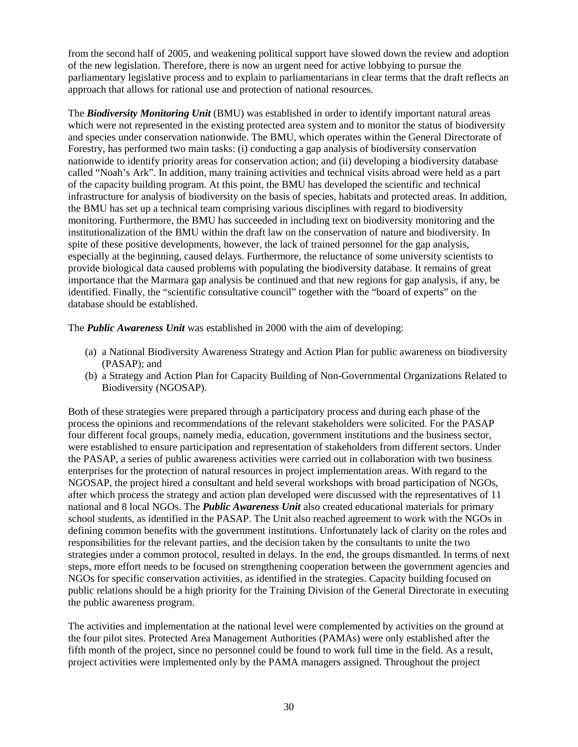from the second half of 2005, and weakening political support have slowed down the review and adoption of the new legislation. Therefore, there is now an urgent need for active lobbying to pursue the parliamentary legislative process and to explain to parliamentarians in clear terms that the draft reflects an approach that allows for rational use and protection of national resources.

The *Biodiversity Monitoring Unit* (BMU) was established in order to identify important natural areas which were not represented in the existing protected area system and to monitor the status of biodiversity and species under conservation nationwide. The BMU, which operates within the General Directorate of Forestry, has performed two main tasks: (i) conducting a gap analysis of biodiversity conservation nationwide to identify priority areas for conservation action; and (ii) developing a biodiversity database called "Noah's Ark". In addition, many training activities and technical visits abroad were held as a part of the capacity building program. At this point, the BMU has developed the scientific and technical infrastructure for analysis of biodiversity on the basis of species, habitats and protected areas. In addition, the BMU has set up a technical team comprising various disciplines with regard to biodiversity monitoring. Furthermore, the BMU has succeeded in including text on biodiversity monitoring and the institutionalization of the BMU within the draft law on the conservation of nature and biodiversity. In spite of these positive developments, however, the lack of trained personnel for the gap analysis, especially at the beginning, caused delays. Furthermore, the reluctance of some university scientists to provide biological data caused problems with populating the biodiversity database. It remains of great importance that the Marmara gap analysis be continued and that new regions for gap analysis, if any, be identified. Finally, the "scientific consultative council" together with the "board of experts" on the database should be established.

The *Public Awareness Unit* was established in 2000 with the aim of developing:

- (a) a National Biodiversity Awareness Strategy and Action Plan for public awareness on biodiversity (PASAP); and
- (b) a Strategy and Action Plan for Capacity Building of Non-Governmental Organizations Related to Biodiversity (NGOSAP).

Both of these strategies were prepared through a participatory process and during each phase of the process the opinions and recommendations of the relevant stakeholders were solicited. For the PASAP four different focal groups, namely media, education, government institutions and the business sector, were established to ensure participation and representation of stakeholders from different sectors. Under the PASAP, a series of public awareness activities were carried out in collaboration with two business enterprises for the protection of natural resources in project implementation areas. With regard to the NGOSAP, the project hired a consultant and held several workshops with broad participation of NGOs, after which process the strategy and action plan developed were discussed with the representatives of 11 national and 8 local NGOs. The *Public Awareness Unit* also created educational materials for primary school students, as identified in the PASAP. The Unit also reached agreement to work with the NGOs in defining common benefits with the government institutions. Unfortunately lack of clarity on the roles and responsibilities for the relevant parties, and the decision taken by the consultants to unite the two strategies under a common protocol, resulted in delays. In the end, the groups dismantled. In terms of next steps, more effort needs to be focused on strengthening cooperation between the government agencies and NGOs for specific conservation activities, as identified in the strategies. Capacity building focused on public relations should be a high priority for the Training Division of the General Directorate in executing the public awareness program.

The activities and implementation at the national level were complemented by activities on the ground at the four pilot sites. Protected Area Management Authorities (PAMAs) were only established after the fifth month of the project, since no personnel could be found to work full time in the field. As a result, project activities were implemented only by the PAMA managers assigned. Throughout the project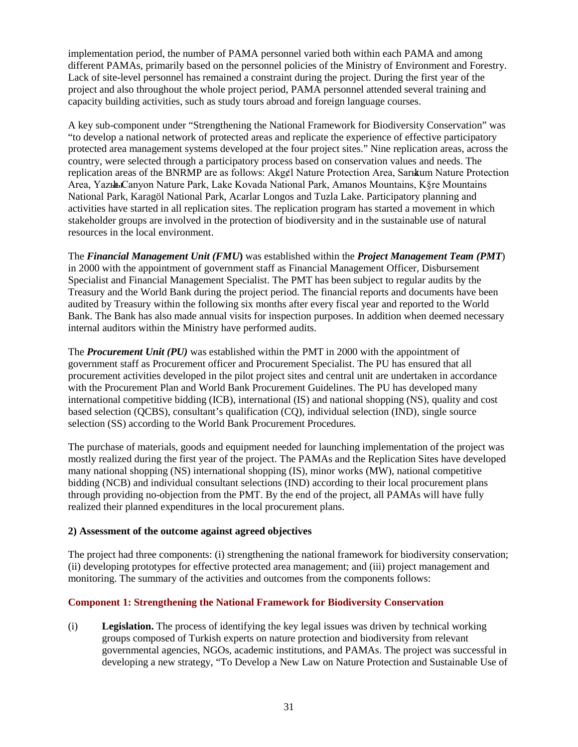implementation period, the number of PAMA personnel varied both within each PAMA and among different PAMAs, primarily based on the personnel policies of the Ministry of Environment and Forestry. Lack of site-level personnel has remained a constraint during the project. During the first year of the project and also throughout the whole project period, PAMA personnel attended several training and capacity building activities, such as study tours abroad and foreign language courses.

A key sub-component under "Strengthening the National Framework for Biodiversity Conservation" was "to develop a national network of protected areas and replicate the experience of effective participatory protected area management systems developed at the four project sites." Nine replication areas, across the country, were selected through a participatory process based on conservation values and needs. The replication areas of the BNRMP are as follows: Akg¢l Nature Protection Area, Sarıkum Nature Protection Area, Yazkh Canyon Nature Park, Lake Kovada National Park, Amanos Mountains, K $\delta$ re Mountains National Park, Karagöl National Park, Acarlar Longos and Tuzla Lake. Participatory planning and activities have started in all replication sites. The replication program has started a movement in which stakeholder groups are involved in the protection of biodiversity and in the sustainable use of natural resources in the local environment.

The *Financial Management Unit (FMU***)** was established within the *Project Management Team (PMT*) in 2000 with the appointment of government staff as Financial Management Officer, Disbursement Specialist and Financial Management Specialist. The PMT has been subject to regular audits by the Treasury and the World Bank during the project period. The financial reports and documents have been audited by Treasury within the following six months after every fiscal year and reported to the World Bank. The Bank has also made annual visits for inspection purposes. In addition when deemed necessary internal auditors within the Ministry have performed audits.

The *Procurement Unit (PU)* was established within the PMT in 2000 with the appointment of government staff as Procurement officer and Procurement Specialist. The PU has ensured that all procurement activities developed in the pilot project sites and central unit are undertaken in accordance with the Procurement Plan and World Bank Procurement Guidelines. The PU has developed many international competitive bidding (ICB), international (IS) and national shopping (NS), quality and cost based selection (QCBS), consultant's qualification (CQ), individual selection (IND), single source selection (SS) according to the World Bank Procurement Procedures.

The purchase of materials, goods and equipment needed for launching implementation of the project was mostly realized during the first year of the project. The PAMAs and the Replication Sites have developed many national shopping (NS) international shopping (IS), minor works (MW), national competitive bidding (NCB) and individual consultant selections (IND) according to their local procurement plans through providing no-objection from the PMT. By the end of the project, all PAMAs will have fully realized their planned expenditures in the local procurement plans.

## **2) Assessment of the outcome against agreed objectives**

The project had three components: (i) strengthening the national framework for biodiversity conservation; (ii) developing prototypes for effective protected area management; and (iii) project management and monitoring. The summary of the activities and outcomes from the components follows:

## **Component 1: Strengthening the National Framework for Biodiversity Conservation**

(i) **Legislation.** The process of identifying the key legal issues was driven by technical working groups composed of Turkish experts on nature protection and biodiversity from relevant governmental agencies, NGOs, academic institutions, and PAMAs. The project was successful in developing a new strategy, "To Develop a New Law on Nature Protection and Sustainable Use of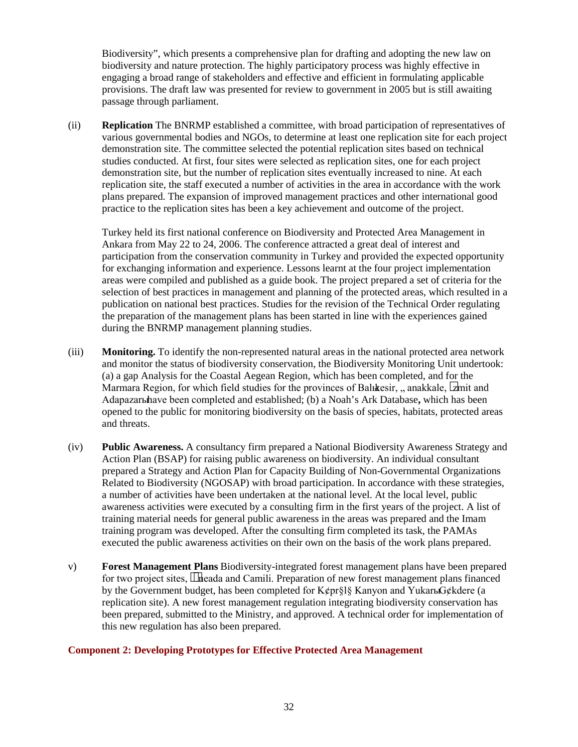Biodiversity", which presents a comprehensive plan for drafting and adopting the new law on biodiversity and nature protection. The highly participatory process was highly effective in engaging a broad range of stakeholders and effective and efficient in formulating applicable provisions. The draft law was presented for review to government in 2005 but is still awaiting passage through parliament.

(ii) **Replication** The BNRMP established a committee, with broad participation of representatives of various governmental bodies and NGOs, to determine at least one replication site for each project demonstration site. The committee selected the potential replication sites based on technical studies conducted. At first, four sites were selected as replication sites, one for each project demonstration site, but the number of replication sites eventually increased to nine. At each replication site, the staff executed a number of activities in the area in accordance with the work plans prepared. The expansion of improved management practices and other international good practice to the replication sites has been a key achievement and outcome of the project.

Turkey held its first national conference on Biodiversity and Protected Area Management in Ankara from May 22 to 24, 2006. The conference attracted a great deal of interest and participation from the conservation community in Turkey and provided the expected opportunity for exchanging information and experience. Lessons learnt at the four project implementation areas were compiled and published as a guide book. The project prepared a set of criteria for the selection of best practices in management and planning of the protected areas, which resulted in a publication on national best practices. Studies for the revision of the Technical Order regulating the preparation of the management plans has been started in line with the experiences gained during the BNRMP management planning studies.

- (iii) **Monitoring.** To identify the non-represented natural areas in the national protected area network and monitor the status of biodiversity conservation, the Biodiversity Monitoring Unit undertook: (a) a gap Analysis for the Coastal Aegean Region, which has been completed, and for the Marmara Region, for which field studies for the provinces of Balikesir, "anakkale, zmit and Adapazarbhave been completed and established; (b) a Noah's Ark Database, which has been opened to the public for monitoring biodiversity on the basis of species, habitats, protected areas and threats.
- (iv) **Public Awareness.** A consultancy firm prepared a National Biodiversity Awareness Strategy and Action Plan (BSAP) for raising public awareness on biodiversity. An individual consultant prepared a Strategy and Action Plan for Capacity Building of Non-Governmental Organizations Related to Biodiversity (NGOSAP) with broad participation. In accordance with these strategies, a number of activities have been undertaken at the national level. At the local level, public awareness activities were executed by a consulting firm in the first years of the project. A list of training material needs for general public awareness in the areas was prepared and the Imam training program was developed. After the consulting firm completed its task, the PAMAs executed the public awareness activities on their own on the basis of the work plans prepared.
- v) **Forest Management Plans** Biodiversity-integrated forest management plans have been prepared for two project sites, neada and Camili. Preparation of new forest management plans financed by the Government budget, has been completed for K¢pr§l§ Kanyon and Yukar<sub>b</sub>G¢kdere (a replication site). A new forest management regulation integrating biodiversity conservation has been prepared, submitted to the Ministry, and approved. A technical order for implementation of this new regulation has also been prepared.

#### **Component 2: Developing Prototypes for Effective Protected Area Management**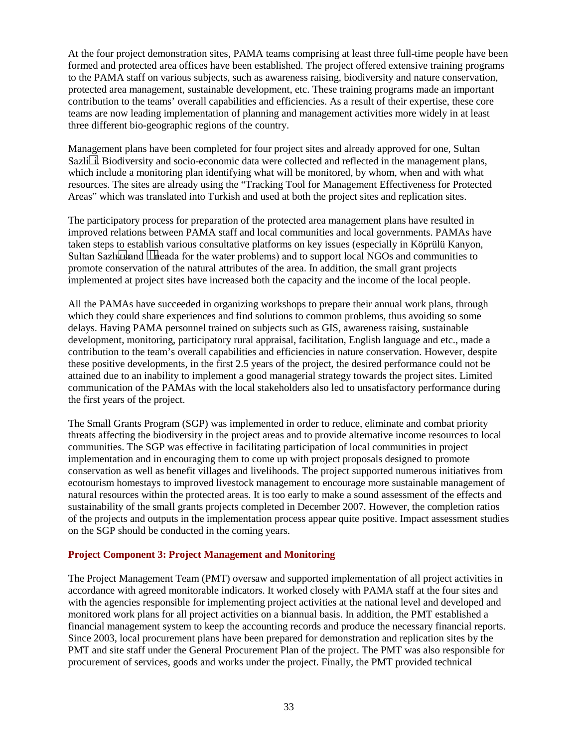At the four project demonstration sites, PAMA teams comprising at least three full-time people have been formed and protected area offices have been established. The project offered extensive training programs to the PAMA staff on various subjects, such as awareness raising, biodiversity and nature conservation, protected area management, sustainable development, etc. These training programs made an important contribution to the teams' overall capabilities and efficiencies. As a result of their expertise, these core teams are now leading implementation of planning and management activities more widely in at least three different bio-geographic regions of the country.

Management plans have been completed for four project sites and already approved for one, Sultan Sazli i. Biodiversity and socio-economic data were collected and reflected in the management plans, which include a monitoring plan identifying what will be monitored, by whom, when and with what resources. The sites are already using the "Tracking Tool for Management Effectiveness for Protected Areas" which was translated into Turkish and used at both the project sites and replication sites.

The participatory process for preparation of the protected area management plans have resulted in improved relations between PAMA staff and local communities and local governments. PAMAs have taken steps to establish various consultative platforms on key issues (especially in Köprülü Kanyon, Sultan Sazlыь and neada for the water problems) and to support local NGOs and communities to promote conservation of the natural attributes of the area. In addition, the small grant projects implemented at project sites have increased both the capacity and the income of the local people.

All the PAMAs have succeeded in organizing workshops to prepare their annual work plans, through which they could share experiences and find solutions to common problems, thus avoiding so some delays. Having PAMA personnel trained on subjects such as GIS, awareness raising, sustainable development, monitoring, participatory rural appraisal, facilitation, English language and etc., made a contribution to the team's overall capabilities and efficiencies in nature conservation. However, despite these positive developments, in the first 2.5 years of the project, the desired performance could not be attained due to an inability to implement a good managerial strategy towards the project sites. Limited communication of the PAMAs with the local stakeholders also led to unsatisfactory performance during the first years of the project.

The Small Grants Program (SGP) was implemented in order to reduce, eliminate and combat priority threats affecting the biodiversity in the project areas and to provide alternative income resources to local communities. The SGP was effective in facilitating participation of local communities in project implementation and in encouraging them to come up with project proposals designed to promote conservation as well as benefit villages and livelihoods. The project supported numerous initiatives from ecotourism homestays to improved livestock management to encourage more sustainable management of natural resources within the protected areas. It is too early to make a sound assessment of the effects and sustainability of the small grants projects completed in December 2007. However, the completion ratios of the projects and outputs in the implementation process appear quite positive. Impact assessment studies on the SGP should be conducted in the coming years.

## **Project Component 3: Project Management and Monitoring**

The Project Management Team (PMT) oversaw and supported implementation of all project activities in accordance with agreed monitorable indicators. It worked closely with PAMA staff at the four sites and with the agencies responsible for implementing project activities at the national level and developed and monitored work plans for all project activities on a biannual basis. In addition, the PMT established a financial management system to keep the accounting records and produce the necessary financial reports. Since 2003, local procurement plans have been prepared for demonstration and replication sites by the PMT and site staff under the General Procurement Plan of the project. The PMT was also responsible for procurement of services, goods and works under the project. Finally, the PMT provided technical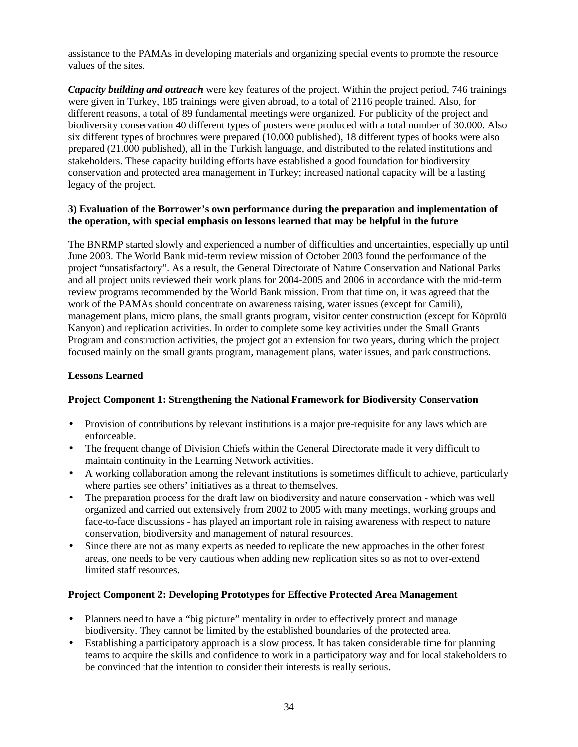assistance to the PAMAs in developing materials and organizing special events to promote the resource values of the sites.

*Capacity building and outreach* were key features of the project. Within the project period, 746 trainings were given in Turkey, 185 trainings were given abroad, to a total of 2116 people trained. Also, for different reasons, a total of 89 fundamental meetings were organized. For publicity of the project and biodiversity conservation 40 different types of posters were produced with a total number of 30.000. Also six different types of brochures were prepared (10.000 published), 18 different types of books were also prepared (21.000 published), all in the Turkish language, and distributed to the related institutions and stakeholders. These capacity building efforts have established a good foundation for biodiversity conservation and protected area management in Turkey; increased national capacity will be a lasting legacy of the project.

## **3) Evaluation of the Borrower's own performance during the preparation and implementation of the operation, with special emphasis on lessons learned that may be helpful in the future**

The BNRMP started slowly and experienced a number of difficulties and uncertainties, especially up until June 2003. The World Bank mid-term review mission of October 2003 found the performance of the project "unsatisfactory". As a result, the General Directorate of Nature Conservation and National Parks and all project units reviewed their work plans for 2004-2005 and 2006 in accordance with the mid-term review programs recommended by the World Bank mission. From that time on, it was agreed that the work of the PAMAs should concentrate on awareness raising, water issues (except for Camili), management plans, micro plans, the small grants program, visitor center construction (except for Köprülü Kanyon) and replication activities. In order to complete some key activities under the Small Grants Program and construction activities, the project got an extension for two years, during which the project focused mainly on the small grants program, management plans, water issues, and park constructions.

## **Lessons Learned**

## **Project Component 1: Strengthening the National Framework for Biodiversity Conservation**

- Provision of contributions by relevant institutions is a major pre-requisite for any laws which are enforceable.
- The frequent change of Division Chiefs within the General Directorate made it very difficult to maintain continuity in the Learning Network activities.
- A working collaboration among the relevant institutions is sometimes difficult to achieve, particularly where parties see others' initiatives as a threat to themselves.
- The preparation process for the draft law on biodiversity and nature conservation which was well organized and carried out extensively from 2002 to 2005 with many meetings, working groups and face-to-face discussions - has played an important role in raising awareness with respect to nature conservation, biodiversity and management of natural resources.
- Since there are not as many experts as needed to replicate the new approaches in the other forest areas, one needs to be very cautious when adding new replication sites so as not to over-extend limited staff resources.

## **Project Component 2: Developing Prototypes for Effective Protected Area Management**

- Planners need to have a "big picture" mentality in order to effectively protect and manage biodiversity. They cannot be limited by the established boundaries of the protected area.
- Establishing a participatory approach is a slow process. It has taken considerable time for planning teams to acquire the skills and confidence to work in a participatory way and for local stakeholders to be convinced that the intention to consider their interests is really serious.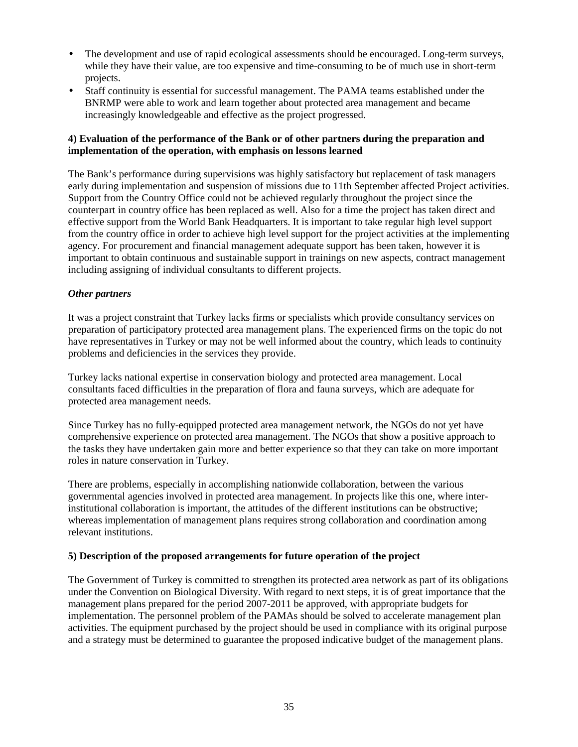- The development and use of rapid ecological assessments should be encouraged. Long-term surveys, while they have their value, are too expensive and time-consuming to be of much use in short-term projects.
- Staff continuity is essential for successful management. The PAMA teams established under the BNRMP were able to work and learn together about protected area management and became increasingly knowledgeable and effective as the project progressed.

## **4) Evaluation of the performance of the Bank or of other partners during the preparation and implementation of the operation, with emphasis on lessons learned**

The Bank's performance during supervisions was highly satisfactory but replacement of task managers early during implementation and suspension of missions due to 11th September affected Project activities. Support from the Country Office could not be achieved regularly throughout the project since the counterpart in country office has been replaced as well. Also for a time the project has taken direct and effective support from the World Bank Headquarters. It is important to take regular high level support from the country office in order to achieve high level support for the project activities at the implementing agency. For procurement and financial management adequate support has been taken, however it is important to obtain continuous and sustainable support in trainings on new aspects, contract management including assigning of individual consultants to different projects.

## *Other partners*

It was a project constraint that Turkey lacks firms or specialists which provide consultancy services on preparation of participatory protected area management plans. The experienced firms on the topic do not have representatives in Turkey or may not be well informed about the country, which leads to continuity problems and deficiencies in the services they provide.

Turkey lacks national expertise in conservation biology and protected area management. Local consultants faced difficulties in the preparation of flora and fauna surveys, which are adequate for protected area management needs.

Since Turkey has no fully-equipped protected area management network, the NGOs do not yet have comprehensive experience on protected area management. The NGOs that show a positive approach to the tasks they have undertaken gain more and better experience so that they can take on more important roles in nature conservation in Turkey.

There are problems, especially in accomplishing nationwide collaboration, between the various governmental agencies involved in protected area management. In projects like this one, where interinstitutional collaboration is important, the attitudes of the different institutions can be obstructive; whereas implementation of management plans requires strong collaboration and coordination among relevant institutions.

## **5) Description of the proposed arrangements for future operation of the project**

The Government of Turkey is committed to strengthen its protected area network as part of its obligations under the Convention on Biological Diversity. With regard to next steps, it is of great importance that the management plans prepared for the period 2007-2011 be approved, with appropriate budgets for implementation. The personnel problem of the PAMAs should be solved to accelerate management plan activities. The equipment purchased by the project should be used in compliance with its original purpose and a strategy must be determined to guarantee the proposed indicative budget of the management plans.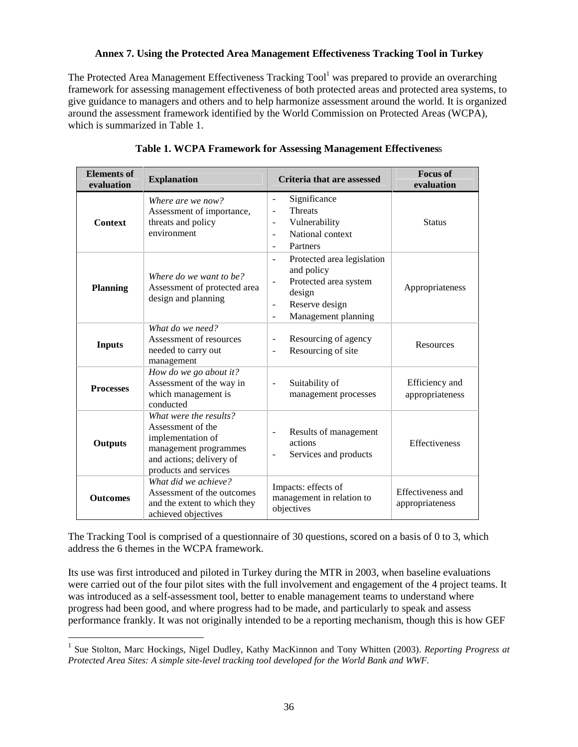## **Annex 7. Using the Protected Area Management Effectiveness Tracking Tool in Turkey**

The Protected Area Management Effectiveness Tracking  $Tool<sup>1</sup>$  was prepared to provide an overarching framework for assessing management effectiveness of both protected areas and protected area systems, to give guidance to managers and others and to help harmonize assessment around the world. It is organized around the assessment framework identified by the World Commission on Protected Areas (WCPA), which is summarized in Table 1.

| <b>Elements of</b><br>evaluation | <b>Explanation</b>                                                                                                                             | <b>Criteria that are assessed</b>                                                                                                                                                          | <b>Focus of</b><br>evaluation        |
|----------------------------------|------------------------------------------------------------------------------------------------------------------------------------------------|--------------------------------------------------------------------------------------------------------------------------------------------------------------------------------------------|--------------------------------------|
| <b>Context</b>                   | Where are we now?<br>Assessment of importance,<br>threats and policy<br>environment                                                            | Significance<br>$\overline{a}$<br><b>Threats</b><br>Ē,<br>Vulnerability<br>L,<br>National context<br>$\overline{a}$<br>Partners<br>L.                                                      | <b>Status</b>                        |
| <b>Planning</b>                  | Where do we want to be?<br>Assessment of protected area<br>design and planning                                                                 | Protected area legislation<br>$\overline{\phantom{a}}$<br>and policy<br>Protected area system<br>$\overline{a}$<br>design<br>Reserve design<br>÷,<br>Management planning<br>$\overline{a}$ | Appropriateness                      |
| <b>Inputs</b>                    | What do we need?<br>Assessment of resources<br>needed to carry out<br>management                                                               | Resourcing of agency<br>$\overline{a}$<br>Resourcing of site                                                                                                                               | <b>Resources</b>                     |
| <b>Processes</b>                 | How do we go about it?<br>Assessment of the way in<br>which management is<br>conducted                                                         | Suitability of<br>$\overline{a}$<br>management processes                                                                                                                                   | Efficiency and<br>appropriateness    |
| <b>Outputs</b>                   | What were the results?<br>Assessment of the<br>implementation of<br>management programmes<br>and actions; delivery of<br>products and services | Results of management<br>$\overline{\phantom{0}}$<br>actions<br>Services and products                                                                                                      | <b>Effectiveness</b>                 |
| <b>Outcomes</b>                  | What did we achieve?<br>Assessment of the outcomes<br>and the extent to which they<br>achieved objectives                                      | Impacts: effects of<br>management in relation to<br>objectives                                                                                                                             | Effectiveness and<br>appropriateness |

|  | Table 1. WCPA Framework for Assessing Management Effectiveness |  |  |
|--|----------------------------------------------------------------|--|--|
|  |                                                                |  |  |

The Tracking Tool is comprised of a questionnaire of 30 questions, scored on a basis of 0 to 3, which address the 6 themes in the WCPA framework.

Its use was first introduced and piloted in Turkey during the MTR in 2003, when baseline evaluations were carried out of the four pilot sites with the full involvement and engagement of the 4 project teams. It was introduced as a self-assessment tool, better to enable management teams to understand where progress had been good, and where progress had to be made, and particularly to speak and assess performance frankly. It was not originally intended to be a reporting mechanism, though this is how GEF

<sup>1</sup> Sue Stolton, Marc Hockings, Nigel Dudley, Kathy MacKinnon and Tony Whitten (2003). *Reporting Progress at Protected Area Sites: A simple site-level tracking tool developed for the World Bank and WWF.*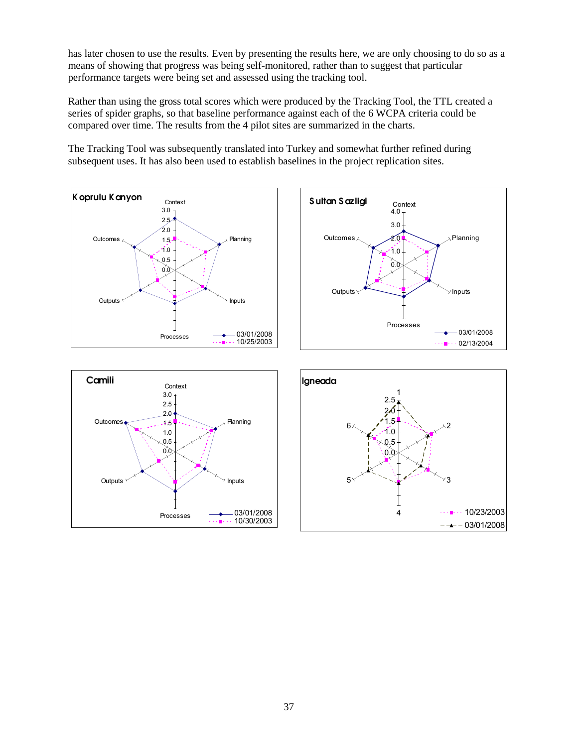has later chosen to use the results. Even by presenting the results here, we are only choosing to do so as a means of showing that progress was being self-monitored, rather than to suggest that particular performance targets were being set and assessed using the tracking tool.

Rather than using the gross total scores which were produced by the Tracking Tool, the TTL created a series of spider graphs, so that baseline performance against each of the 6 WCPA criteria could be compared over time. The results from the 4 pilot sites are summarized in the charts.

The Tracking Tool was subsequently translated into Turkey and somewhat further refined during subsequent uses. It has also been used to establish baselines in the project replication sites.